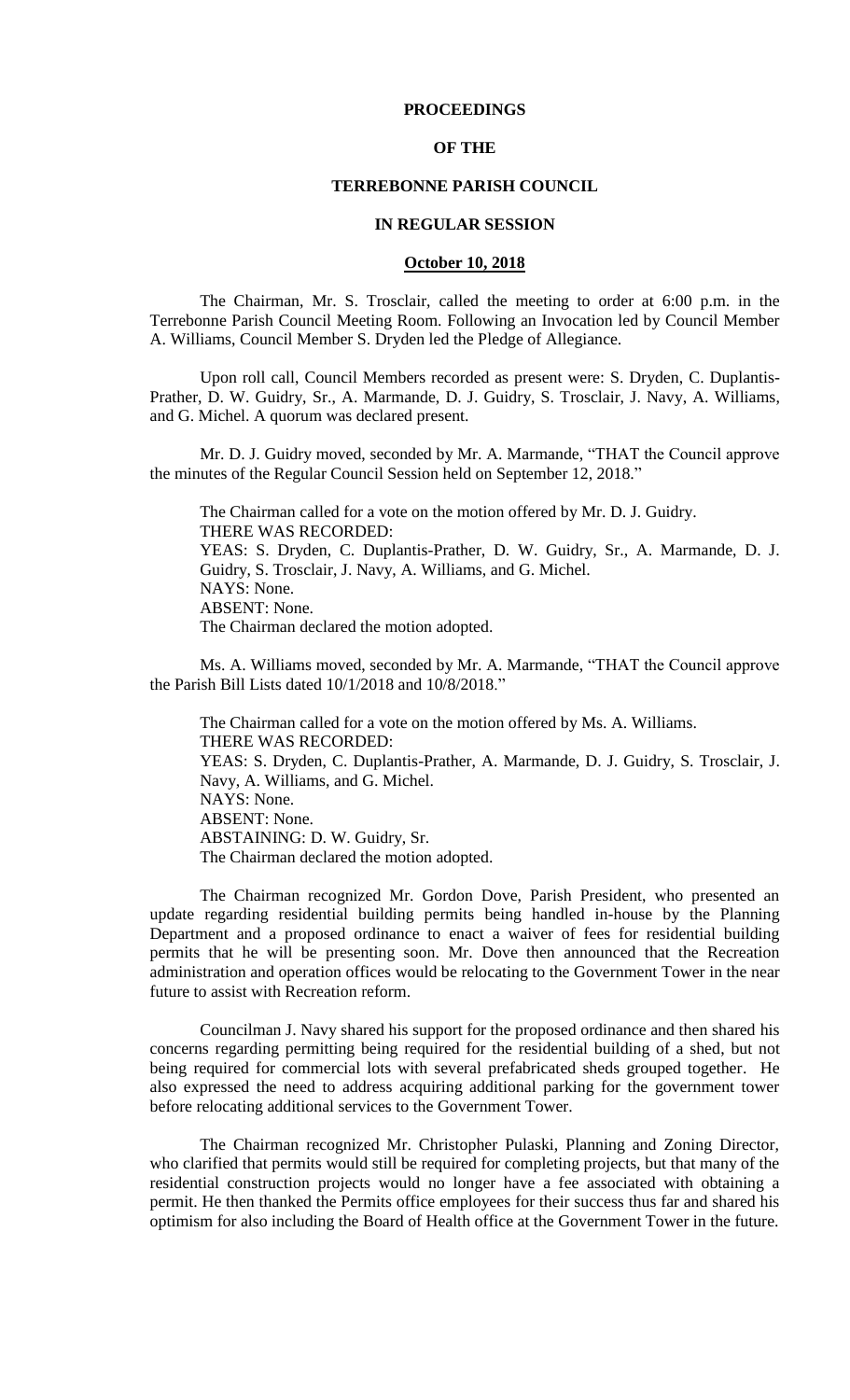### **PROCEEDINGS**

#### **OF THE**

#### **TERREBONNE PARISH COUNCIL**

#### **IN REGULAR SESSION**

#### **October 10, 2018**

The Chairman, Mr. S. Trosclair, called the meeting to order at 6:00 p.m. in the Terrebonne Parish Council Meeting Room. Following an Invocation led by Council Member A. Williams, Council Member S. Dryden led the Pledge of Allegiance.

Upon roll call, Council Members recorded as present were: S. Dryden, C. Duplantis-Prather, D. W. Guidry, Sr., A. Marmande, D. J. Guidry, S. Trosclair, J. Navy, A. Williams, and G. Michel. A quorum was declared present.

Mr. D. J. Guidry moved, seconded by Mr. A. Marmande, "THAT the Council approve the minutes of the Regular Council Session held on September 12, 2018."

The Chairman called for a vote on the motion offered by Mr. D. J. Guidry. THERE WAS RECORDED: YEAS: S. Dryden, C. Duplantis-Prather, D. W. Guidry, Sr., A. Marmande, D. J. Guidry, S. Trosclair, J. Navy, A. Williams, and G. Michel. NAYS: None. ABSENT: None. The Chairman declared the motion adopted.

Ms. A. Williams moved, seconded by Mr. A. Marmande, "THAT the Council approve the Parish Bill Lists dated 10/1/2018 and 10/8/2018."

The Chairman called for a vote on the motion offered by Ms. A. Williams. THERE WAS RECORDED: YEAS: S. Dryden, C. Duplantis-Prather, A. Marmande, D. J. Guidry, S. Trosclair, J. Navy, A. Williams, and G. Michel. NAYS: None. ABSENT: None. ABSTAINING: D. W. Guidry, Sr. The Chairman declared the motion adopted.

The Chairman recognized Mr. Gordon Dove, Parish President, who presented an update regarding residential building permits being handled in-house by the Planning Department and a proposed ordinance to enact a waiver of fees for residential building permits that he will be presenting soon. Mr. Dove then announced that the Recreation administration and operation offices would be relocating to the Government Tower in the near future to assist with Recreation reform.

Councilman J. Navy shared his support for the proposed ordinance and then shared his concerns regarding permitting being required for the residential building of a shed, but not being required for commercial lots with several prefabricated sheds grouped together. He also expressed the need to address acquiring additional parking for the government tower before relocating additional services to the Government Tower.

The Chairman recognized Mr. Christopher Pulaski, Planning and Zoning Director, who clarified that permits would still be required for completing projects, but that many of the residential construction projects would no longer have a fee associated with obtaining a permit. He then thanked the Permits office employees for their success thus far and shared his optimism for also including the Board of Health office at the Government Tower in the future.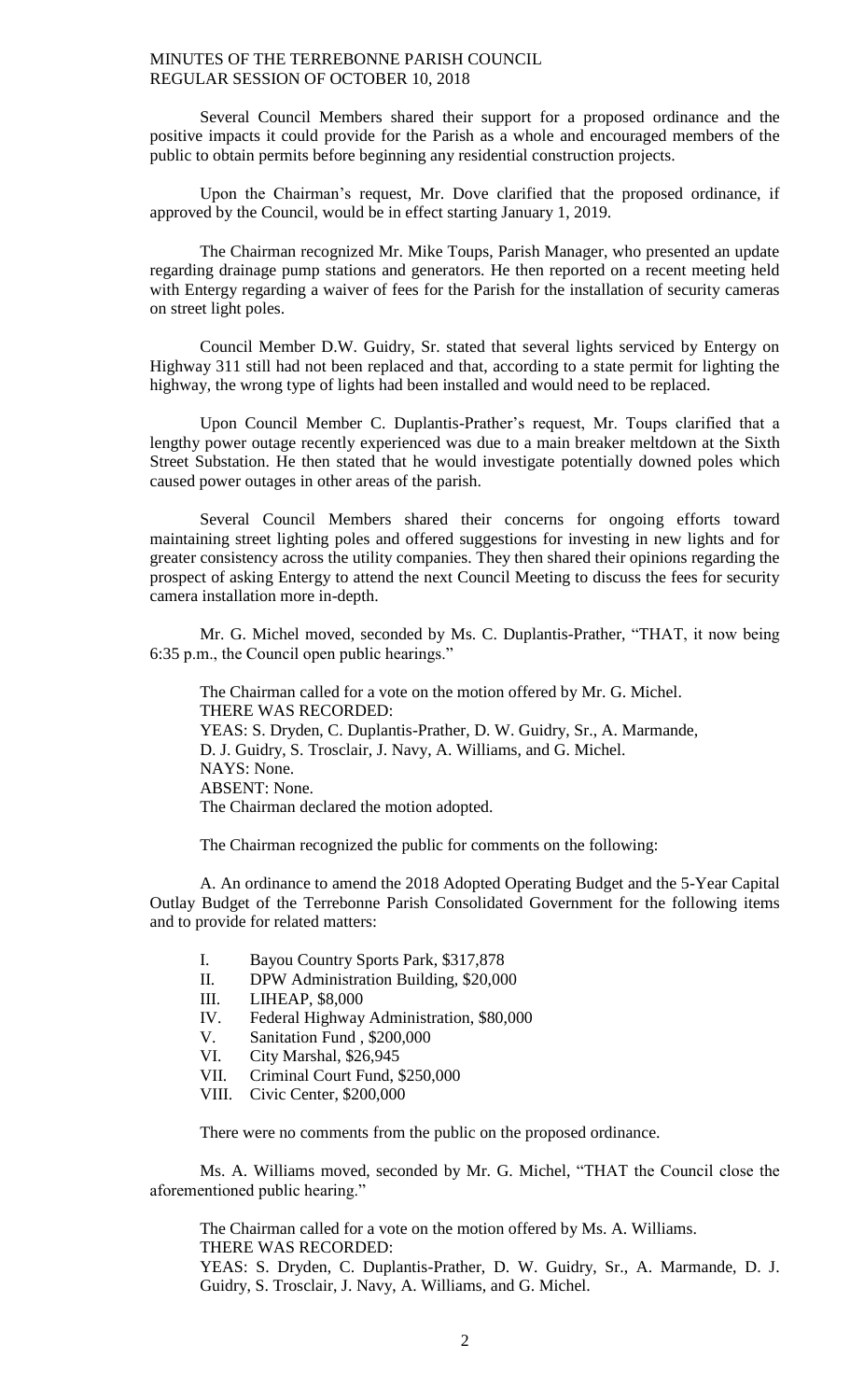Several Council Members shared their support for a proposed ordinance and the positive impacts it could provide for the Parish as a whole and encouraged members of the public to obtain permits before beginning any residential construction projects.

Upon the Chairman's request, Mr. Dove clarified that the proposed ordinance, if approved by the Council, would be in effect starting January 1, 2019.

The Chairman recognized Mr. Mike Toups, Parish Manager, who presented an update regarding drainage pump stations and generators. He then reported on a recent meeting held with Entergy regarding a waiver of fees for the Parish for the installation of security cameras on street light poles.

Council Member D.W. Guidry, Sr. stated that several lights serviced by Entergy on Highway 311 still had not been replaced and that, according to a state permit for lighting the highway, the wrong type of lights had been installed and would need to be replaced.

Upon Council Member C. Duplantis-Prather's request, Mr. Toups clarified that a lengthy power outage recently experienced was due to a main breaker meltdown at the Sixth Street Substation. He then stated that he would investigate potentially downed poles which caused power outages in other areas of the parish.

Several Council Members shared their concerns for ongoing efforts toward maintaining street lighting poles and offered suggestions for investing in new lights and for greater consistency across the utility companies. They then shared their opinions regarding the prospect of asking Entergy to attend the next Council Meeting to discuss the fees for security camera installation more in-depth.

Mr. G. Michel moved, seconded by Ms. C. Duplantis-Prather, "THAT, it now being 6:35 p.m., the Council open public hearings."

The Chairman called for a vote on the motion offered by Mr. G. Michel. THERE WAS RECORDED: YEAS: S. Dryden, C. Duplantis-Prather, D. W. Guidry, Sr., A. Marmande, D. J. Guidry, S. Trosclair, J. Navy, A. Williams, and G. Michel. NAYS: None. ABSENT: None. The Chairman declared the motion adopted.

The Chairman recognized the public for comments on the following:

A. An ordinance to amend the 2018 Adopted Operating Budget and the 5-Year Capital Outlay Budget of the Terrebonne Parish Consolidated Government for the following items and to provide for related matters:

- I. Bayou Country Sports Park, \$317,878
- II. DPW Administration Building, \$20,000
- III. LIHEAP, \$8,000
- IV. Federal Highway Administration, \$80,000
- V. Sanitation Fund , \$200,000
- VI. City Marshal, \$26,945<br>VII. Criminal Court Fund, \$
- Criminal Court Fund, \$250,000
- VIII. Civic Center, \$200,000

There were no comments from the public on the proposed ordinance.

Ms. A. Williams moved, seconded by Mr. G. Michel, "THAT the Council close the aforementioned public hearing."

The Chairman called for a vote on the motion offered by Ms. A. Williams. THERE WAS RECORDED: YEAS: S. Dryden, C. Duplantis-Prather, D. W. Guidry, Sr., A. Marmande, D. J. Guidry, S. Trosclair, J. Navy, A. Williams, and G. Michel.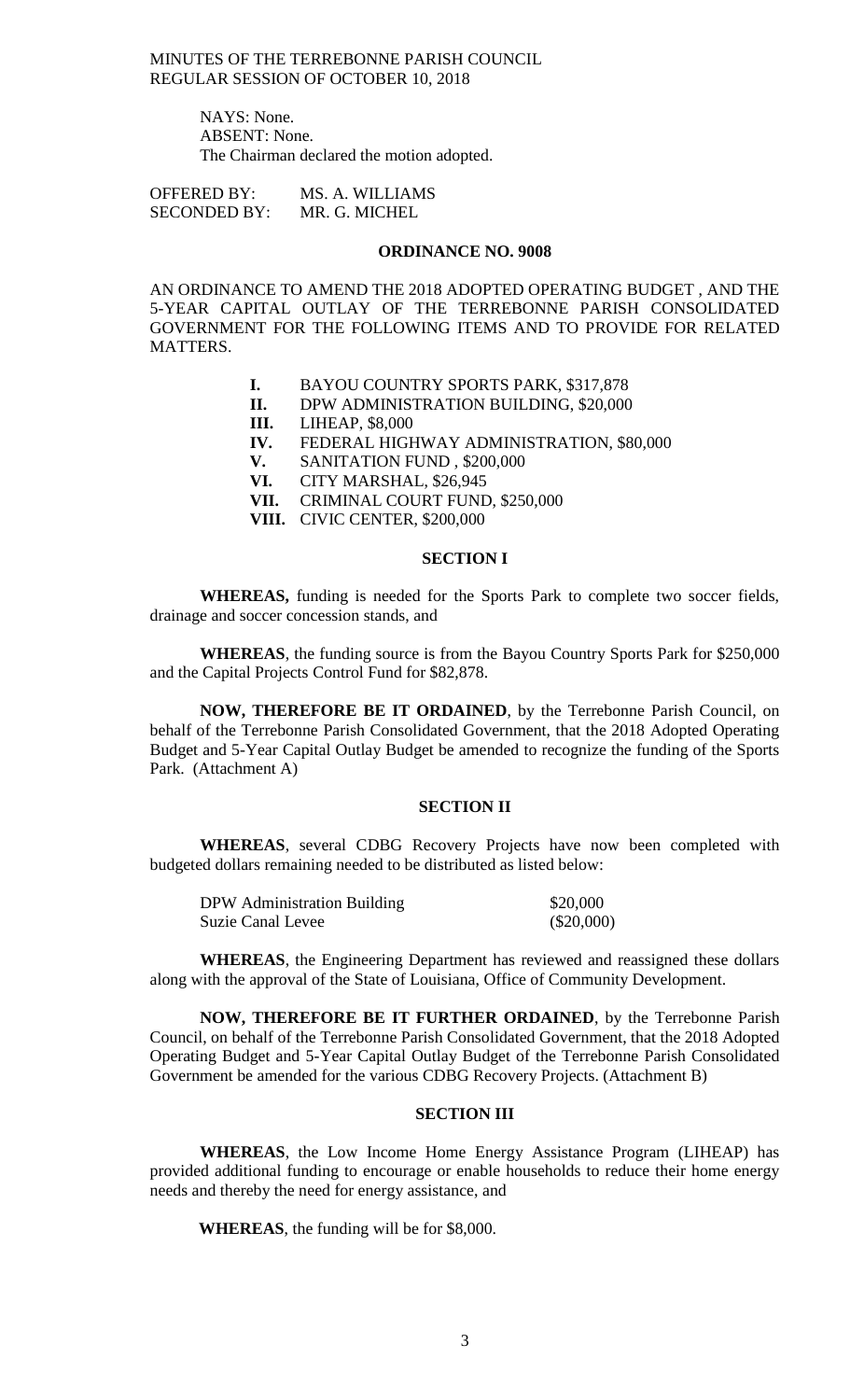> NAYS: None. ABSENT: None. The Chairman declared the motion adopted.

OFFERED BY: MS. A. WILLIAMS SECONDED BY: MR. G. MICHEL

#### **ORDINANCE NO. 9008**

AN ORDINANCE TO AMEND THE 2018 ADOPTED OPERATING BUDGET , AND THE 5-YEAR CAPITAL OUTLAY OF THE TERREBONNE PARISH CONSOLIDATED GOVERNMENT FOR THE FOLLOWING ITEMS AND TO PROVIDE FOR RELATED MATTERS.

- **I.** BAYOU COUNTRY SPORTS PARK, \$317,878
- **II.** DPW ADMINISTRATION BUILDING, \$20,000
- **III.** LIHEAP, \$8,000
- **IV.** FEDERAL HIGHWAY ADMINISTRATION, \$80,000
- **V.** SANITATION FUND , \$200,000
- **VI.** CITY MARSHAL, \$26,945
- **VII.** CRIMINAL COURT FUND, \$250,000
- **VIII.** CIVIC CENTER, \$200,000

#### **SECTION I**

**WHEREAS,** funding is needed for the Sports Park to complete two soccer fields, drainage and soccer concession stands, and

**WHEREAS**, the funding source is from the Bayou Country Sports Park for \$250,000 and the Capital Projects Control Fund for \$82,878.

**NOW, THEREFORE BE IT ORDAINED**, by the Terrebonne Parish Council, on behalf of the Terrebonne Parish Consolidated Government, that the 2018 Adopted Operating Budget and 5-Year Capital Outlay Budget be amended to recognize the funding of the Sports Park. (Attachment A)

### **SECTION II**

**WHEREAS**, several CDBG Recovery Projects have now been completed with budgeted dollars remaining needed to be distributed as listed below:

| DPW Administration Building | \$20,000     |
|-----------------------------|--------------|
| <b>Suzie Canal Levee</b>    | $(\$20,000)$ |

**WHEREAS**, the Engineering Department has reviewed and reassigned these dollars along with the approval of the State of Louisiana, Office of Community Development.

**NOW, THEREFORE BE IT FURTHER ORDAINED**, by the Terrebonne Parish Council, on behalf of the Terrebonne Parish Consolidated Government, that the 2018 Adopted Operating Budget and 5-Year Capital Outlay Budget of the Terrebonne Parish Consolidated Government be amended for the various CDBG Recovery Projects. (Attachment B)

### **SECTION III**

**WHEREAS**, the Low Income Home Energy Assistance Program (LIHEAP) has provided additional funding to encourage or enable households to reduce their home energy needs and thereby the need for energy assistance, and

**WHEREAS**, the funding will be for \$8,000.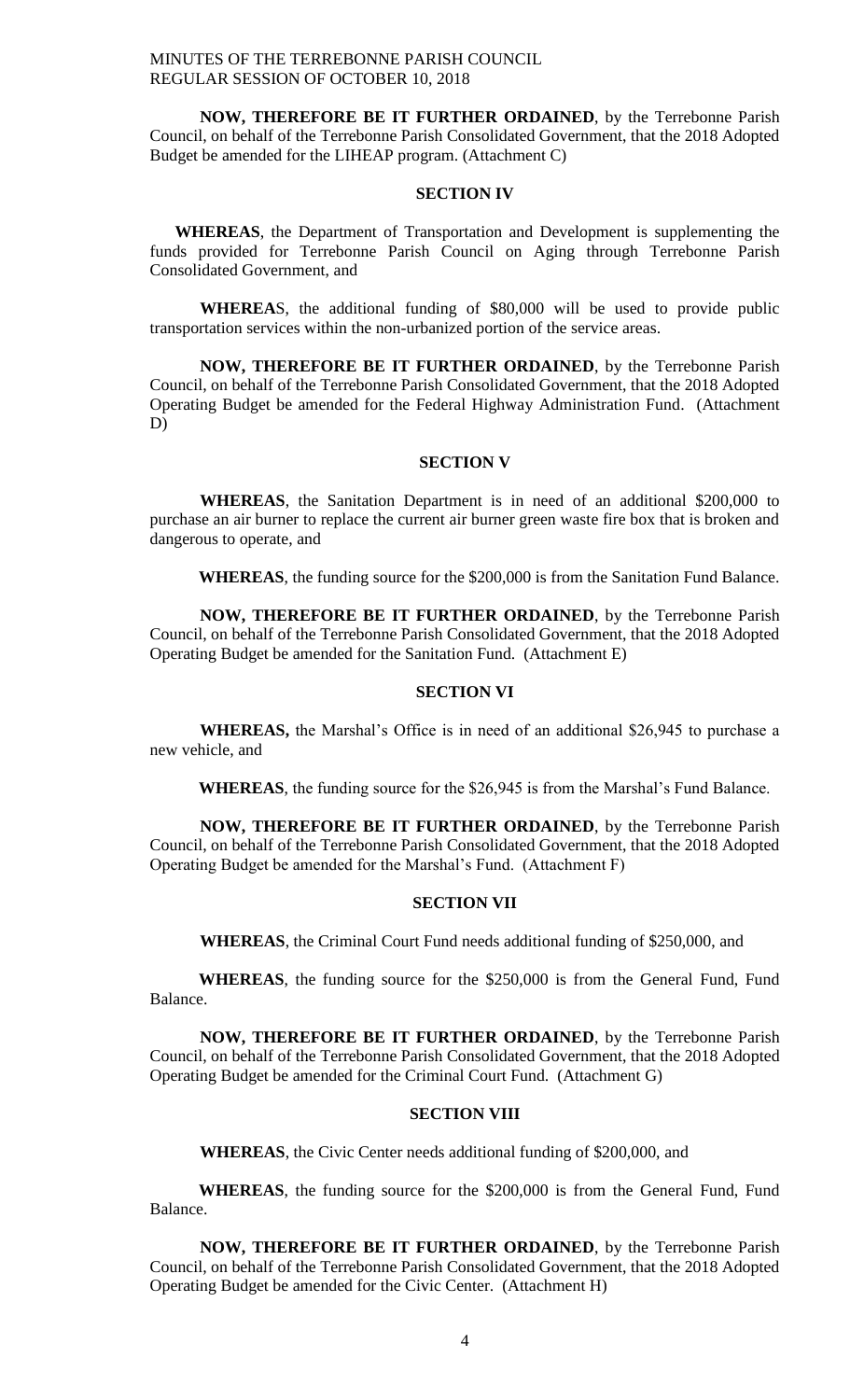**NOW, THEREFORE BE IT FURTHER ORDAINED**, by the Terrebonne Parish Council, on behalf of the Terrebonne Parish Consolidated Government, that the 2018 Adopted Budget be amended for the LIHEAP program. (Attachment C)

#### **SECTION IV**

**WHEREAS**, the Department of Transportation and Development is supplementing the funds provided for Terrebonne Parish Council on Aging through Terrebonne Parish Consolidated Government, and

**WHEREA**S, the additional funding of \$80,000 will be used to provide public transportation services within the non-urbanized portion of the service areas.

**NOW, THEREFORE BE IT FURTHER ORDAINED**, by the Terrebonne Parish Council, on behalf of the Terrebonne Parish Consolidated Government, that the 2018 Adopted Operating Budget be amended for the Federal Highway Administration Fund. (Attachment D)

### **SECTION V**

**WHEREAS**, the Sanitation Department is in need of an additional \$200,000 to purchase an air burner to replace the current air burner green waste fire box that is broken and dangerous to operate, and

**WHEREAS**, the funding source for the \$200,000 is from the Sanitation Fund Balance.

**NOW, THEREFORE BE IT FURTHER ORDAINED**, by the Terrebonne Parish Council, on behalf of the Terrebonne Parish Consolidated Government, that the 2018 Adopted Operating Budget be amended for the Sanitation Fund. (Attachment E)

### **SECTION VI**

**WHEREAS,** the Marshal's Office is in need of an additional \$26,945 to purchase a new vehicle, and

**WHEREAS**, the funding source for the \$26,945 is from the Marshal's Fund Balance.

**NOW, THEREFORE BE IT FURTHER ORDAINED**, by the Terrebonne Parish Council, on behalf of the Terrebonne Parish Consolidated Government, that the 2018 Adopted Operating Budget be amended for the Marshal's Fund. (Attachment F)

#### **SECTION VII**

**WHEREAS**, the Criminal Court Fund needs additional funding of \$250,000, and

**WHEREAS**, the funding source for the \$250,000 is from the General Fund, Fund Balance.

**NOW, THEREFORE BE IT FURTHER ORDAINED**, by the Terrebonne Parish Council, on behalf of the Terrebonne Parish Consolidated Government, that the 2018 Adopted Operating Budget be amended for the Criminal Court Fund. (Attachment G)

### **SECTION VIII**

**WHEREAS**, the Civic Center needs additional funding of \$200,000, and

**WHEREAS**, the funding source for the \$200,000 is from the General Fund, Fund Balance.

**NOW, THEREFORE BE IT FURTHER ORDAINED**, by the Terrebonne Parish Council, on behalf of the Terrebonne Parish Consolidated Government, that the 2018 Adopted Operating Budget be amended for the Civic Center. (Attachment H)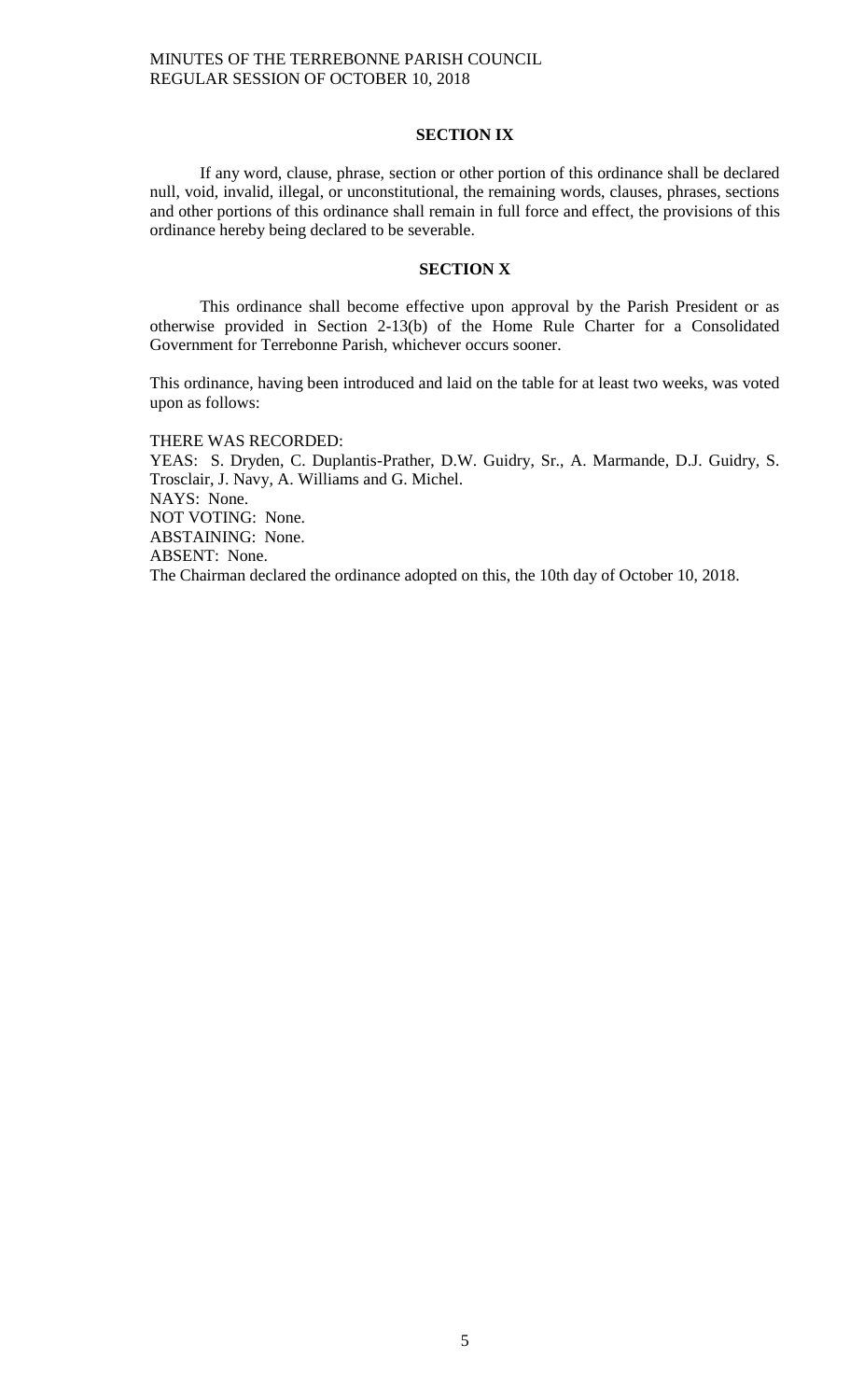#### **SECTION IX**

If any word, clause, phrase, section or other portion of this ordinance shall be declared null, void, invalid, illegal, or unconstitutional, the remaining words, clauses, phrases, sections and other portions of this ordinance shall remain in full force and effect, the provisions of this ordinance hereby being declared to be severable.

#### **SECTION X**

This ordinance shall become effective upon approval by the Parish President or as otherwise provided in Section 2-13(b) of the Home Rule Charter for a Consolidated Government for Terrebonne Parish, whichever occurs sooner.

This ordinance, having been introduced and laid on the table for at least two weeks, was voted upon as follows:

THERE WAS RECORDED:

YEAS: S. Dryden, C. Duplantis-Prather, D.W. Guidry, Sr., A. Marmande, D.J. Guidry, S. Trosclair, J. Navy, A. Williams and G. Michel. NAYS: None. NOT VOTING: None. ABSTAINING: None. ABSENT: None. The Chairman declared the ordinance adopted on this, the 10th day of October 10, 2018.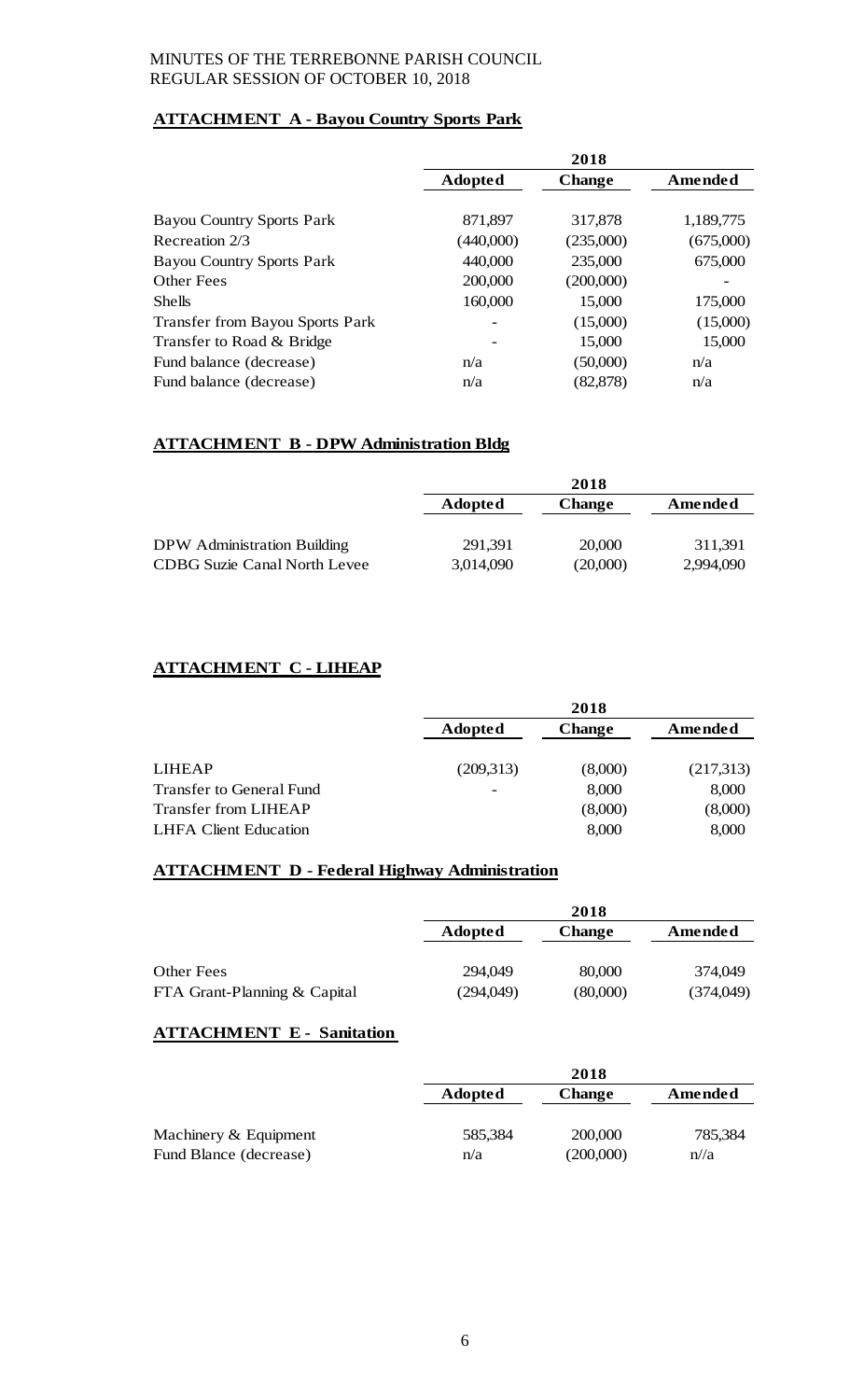# **ATTACHMENT A - Bayou Country Sports Park**

|                                        | 2018                     |               |           |
|----------------------------------------|--------------------------|---------------|-----------|
|                                        | <b>Adopted</b>           | <b>Change</b> | Amended   |
|                                        |                          |               |           |
| <b>Bayou Country Sports Park</b>       | 871,897                  | 317,878       | 1,189,775 |
| Recreation 2/3                         | (440,000)                | (235,000)     | (675,000) |
| <b>Bayou Country Sports Park</b>       | 440,000                  | 235,000       | 675,000   |
| Other Fees                             | 200,000                  | (200,000)     |           |
| <b>Shells</b>                          | 160,000                  | 15,000        | 175,000   |
| <b>Transfer from Bayou Sports Park</b> | $\overline{\phantom{0}}$ | (15,000)      | (15,000)  |
| Transfer to Road & Bridge              |                          | 15,000        | 15,000    |
| Fund balance (decrease)                | n/a                      | (50,000)      | n/a       |
| Fund balance (decrease)                | n/a                      | (82, 878)     | n/a       |

# **ATTACHMENT B - DPW Administration Bldg**

|                              | 2018           |               |           |
|------------------------------|----------------|---------------|-----------|
|                              | <b>Adopted</b> | <b>Change</b> | Amended   |
|                              |                |               |           |
| DPW Administration Building  | 291,391        | 20,000        | 311,391   |
| CDBG Suzie Canal North Levee | 3,014,090      | (20,000)      | 2,994,090 |

# **ATTACHMENT C - LIHEAP**

|                                 | 2018      |               |           |
|---------------------------------|-----------|---------------|-----------|
|                                 | Adopted   | <b>Change</b> | Amended   |
|                                 |           |               |           |
| <b>LIHEAP</b>                   | (209,313) | (8,000)       | (217,313) |
| <b>Transfer to General Fund</b> |           | 8,000         | 8,000     |
| <b>Transfer from LIHEAP</b>     |           | (8,000)       | (8,000)   |
| <b>LHFA Client Education</b>    |           | 8,000         | 8,000     |

# **ATTACHMENT D - Federal Highway Administration**

|                              | 2018           |               |           |
|------------------------------|----------------|---------------|-----------|
|                              | <b>Adopted</b> | <b>Change</b> | Amended   |
|                              |                |               |           |
| Other Fees                   | 294,049        | 80,000        | 374,049   |
| FTA Grant-Planning & Capital | (294,049)      | (80,000)      | (374,049) |

### **ATTACHMENT E - Sanitation**

|                        | 2018                            |           |         |
|------------------------|---------------------------------|-----------|---------|
|                        | <b>Adopted</b><br><b>Change</b> |           | Amended |
|                        |                                 |           |         |
| Machinery & Equipment  | 585,384                         | 200,000   | 785,384 |
| Fund Blance (decrease) | n/a                             | (200,000) | n/2     |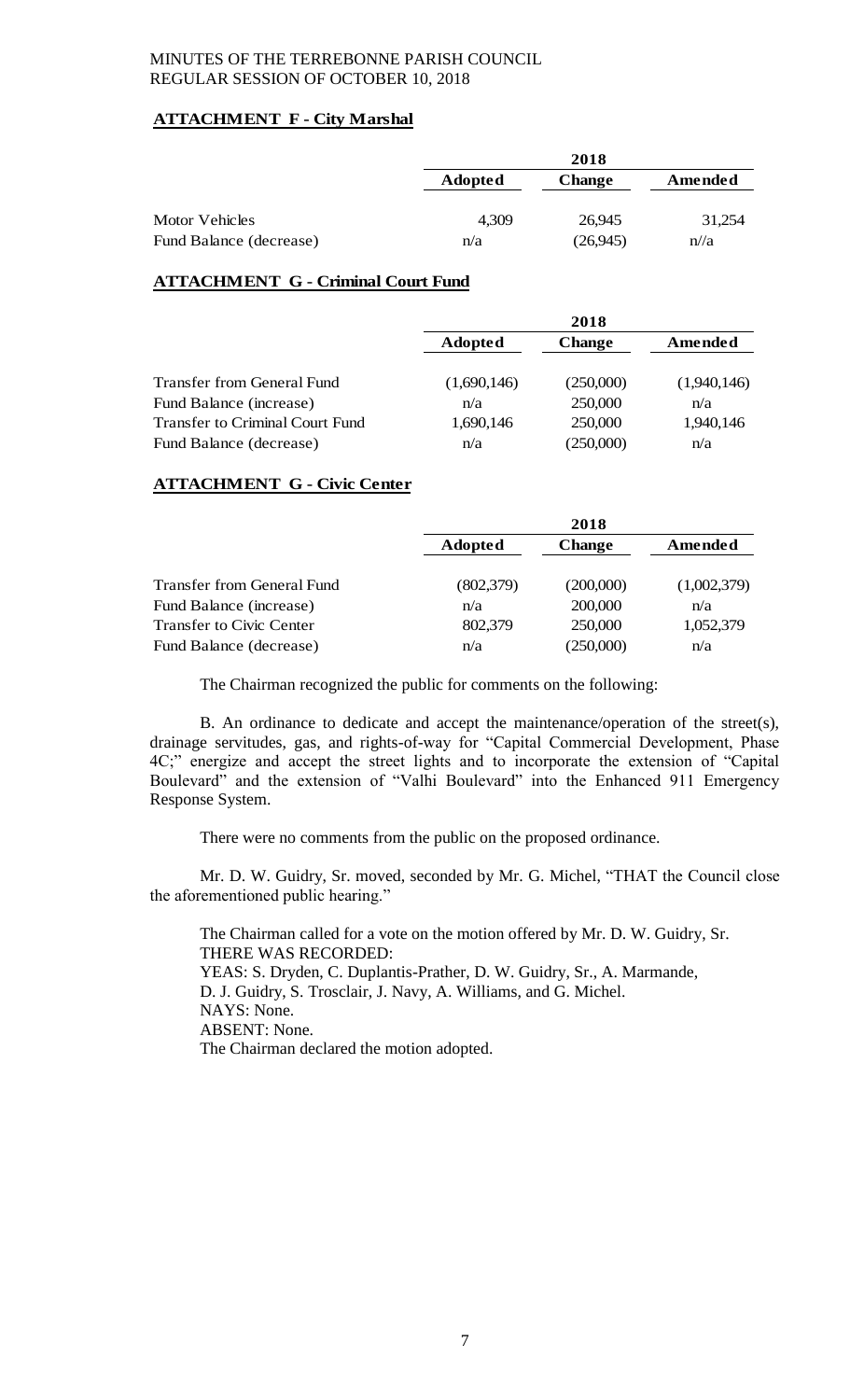### **ATTACHMENT F - City Marshal**

|                         | 2018           |               |         |
|-------------------------|----------------|---------------|---------|
|                         | <b>Adopted</b> | <b>Change</b> | Amended |
| Motor Vehicles          | 4,309          | 26.945        | 31,254  |
| Fund Balance (decrease) | n/a            | (26,945)      | n/2     |

### **ATTACHMENT G - Criminal Court Fund**

|                                        | 2018           |               |             |
|----------------------------------------|----------------|---------------|-------------|
|                                        | <b>Adopted</b> | <b>Change</b> | Amended     |
|                                        |                |               |             |
| Transfer from General Fund             | (1,690,146)    | (250,000)     | (1,940,146) |
| Fund Balance (increase)                | n/a            | 250,000       | n/a         |
| <b>Transfer to Criminal Court Fund</b> | 1,690,146      | 250,000       | 1,940,146   |
| Fund Balance (decrease)                | n/a            | (250,000)     | n/a         |

### **ATTACHMENT G - Civic Center**

|                            | 2018           |               |             |
|----------------------------|----------------|---------------|-------------|
|                            | <b>Adopted</b> | <b>Change</b> | Amended     |
|                            |                |               |             |
| Transfer from General Fund | (802, 379)     | (200,000)     | (1,002,379) |
| Fund Balance (increase)    | n/a            | 200,000       | n/a         |
| Transfer to Civic Center   | 802,379        | 250,000       | 1,052,379   |
| Fund Balance (decrease)    | n/a            | (250,000)     | n/a         |

The Chairman recognized the public for comments on the following:

B. An ordinance to dedicate and accept the maintenance/operation of the street(s), drainage servitudes, gas, and rights-of-way for "Capital Commercial Development, Phase 4C;" energize and accept the street lights and to incorporate the extension of "Capital Boulevard" and the extension of "Valhi Boulevard" into the Enhanced 911 Emergency Response System.

There were no comments from the public on the proposed ordinance.

Mr. D. W. Guidry, Sr. moved, seconded by Mr. G. Michel, "THAT the Council close the aforementioned public hearing."

The Chairman called for a vote on the motion offered by Mr. D. W. Guidry, Sr. THERE WAS RECORDED: YEAS: S. Dryden, C. Duplantis-Prather, D. W. Guidry, Sr., A. Marmande, D. J. Guidry, S. Trosclair, J. Navy, A. Williams, and G. Michel. NAYS: None. ABSENT: None. The Chairman declared the motion adopted.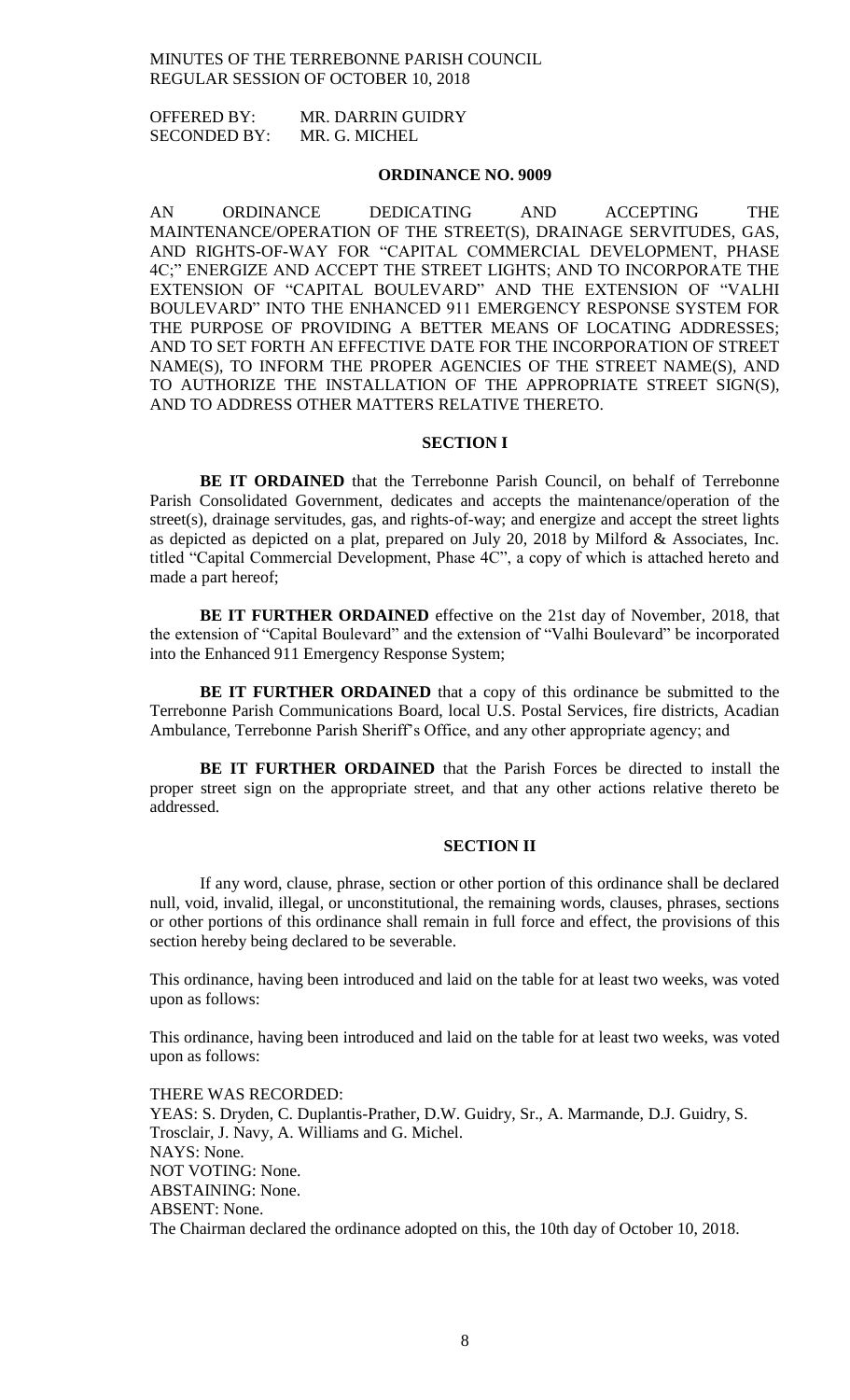OFFERED BY: MR. DARRIN GUIDRY SECONDED BY: MR. G. MICHEL

#### **ORDINANCE NO. 9009**

AN ORDINANCE DEDICATING AND ACCEPTING THE MAINTENANCE/OPERATION OF THE STREET(S), DRAINAGE SERVITUDES, GAS, AND RIGHTS-OF-WAY FOR "CAPITAL COMMERCIAL DEVELOPMENT, PHASE 4C;" ENERGIZE AND ACCEPT THE STREET LIGHTS; AND TO INCORPORATE THE EXTENSION OF "CAPITAL BOULEVARD" AND THE EXTENSION OF "VALHI BOULEVARD" INTO THE ENHANCED 911 EMERGENCY RESPONSE SYSTEM FOR THE PURPOSE OF PROVIDING A BETTER MEANS OF LOCATING ADDRESSES; AND TO SET FORTH AN EFFECTIVE DATE FOR THE INCORPORATION OF STREET NAME(S), TO INFORM THE PROPER AGENCIES OF THE STREET NAME(S), AND TO AUTHORIZE THE INSTALLATION OF THE APPROPRIATE STREET SIGN(S), AND TO ADDRESS OTHER MATTERS RELATIVE THERETO.

#### **SECTION I**

**BE IT ORDAINED** that the Terrebonne Parish Council, on behalf of Terrebonne Parish Consolidated Government, dedicates and accepts the maintenance/operation of the street(s), drainage servitudes, gas, and rights-of-way; and energize and accept the street lights as depicted as depicted on a plat, prepared on July 20, 2018 by Milford & Associates, Inc. titled "Capital Commercial Development, Phase 4C", a copy of which is attached hereto and made a part hereof;

**BE IT FURTHER ORDAINED** effective on the 21st day of November, 2018, that the extension of "Capital Boulevard" and the extension of "Valhi Boulevard" be incorporated into the Enhanced 911 Emergency Response System;

**BE IT FURTHER ORDAINED** that a copy of this ordinance be submitted to the Terrebonne Parish Communications Board, local U.S. Postal Services, fire districts, Acadian Ambulance, Terrebonne Parish Sheriff's Office, and any other appropriate agency; and

**BE IT FURTHER ORDAINED** that the Parish Forces be directed to install the proper street sign on the appropriate street, and that any other actions relative thereto be addressed.

#### **SECTION II**

If any word, clause, phrase, section or other portion of this ordinance shall be declared null, void, invalid, illegal, or unconstitutional, the remaining words, clauses, phrases, sections or other portions of this ordinance shall remain in full force and effect, the provisions of this section hereby being declared to be severable.

This ordinance, having been introduced and laid on the table for at least two weeks, was voted upon as follows:

This ordinance, having been introduced and laid on the table for at least two weeks, was voted upon as follows:

THERE WAS RECORDED: YEAS: S. Dryden, C. Duplantis-Prather, D.W. Guidry, Sr., A. Marmande, D.J. Guidry, S. Trosclair, J. Navy, A. Williams and G. Michel. NAYS: None. NOT VOTING: None. ABSTAINING: None. ABSENT: None. The Chairman declared the ordinance adopted on this, the 10th day of October 10, 2018.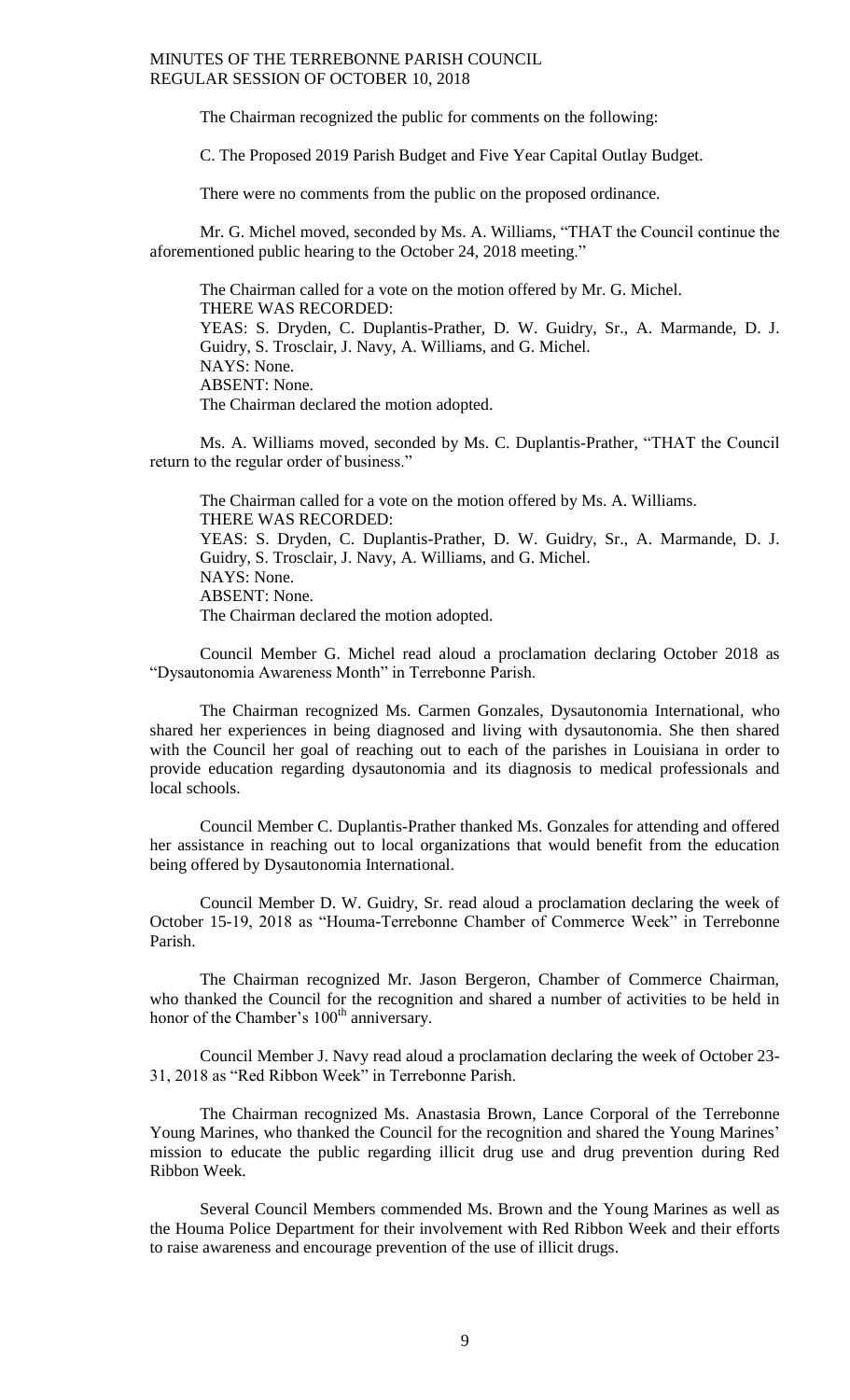The Chairman recognized the public for comments on the following:

C. The Proposed 2019 Parish Budget and Five Year Capital Outlay Budget.

There were no comments from the public on the proposed ordinance.

Mr. G. Michel moved, seconded by Ms. A. Williams, "THAT the Council continue the aforementioned public hearing to the October 24, 2018 meeting."

The Chairman called for a vote on the motion offered by Mr. G. Michel. THERE WAS RECORDED: YEAS: S. Dryden, C. Duplantis-Prather, D. W. Guidry, Sr., A. Marmande, D. J. Guidry, S. Trosclair, J. Navy, A. Williams, and G. Michel. NAYS: None. ABSENT: None. The Chairman declared the motion adopted.

Ms. A. Williams moved, seconded by Ms. C. Duplantis-Prather, "THAT the Council return to the regular order of business."

The Chairman called for a vote on the motion offered by Ms. A. Williams. THERE WAS RECORDED: YEAS: S. Dryden, C. Duplantis-Prather, D. W. Guidry, Sr., A. Marmande, D. J. Guidry, S. Trosclair, J. Navy, A. Williams, and G. Michel. NAYS: None. ABSENT: None. The Chairman declared the motion adopted.

Council Member G. Michel read aloud a proclamation declaring October 2018 as "Dysautonomia Awareness Month" in Terrebonne Parish.

The Chairman recognized Ms. Carmen Gonzales, Dysautonomia International, who shared her experiences in being diagnosed and living with dysautonomia. She then shared with the Council her goal of reaching out to each of the parishes in Louisiana in order to provide education regarding dysautonomia and its diagnosis to medical professionals and local schools.

Council Member C. Duplantis-Prather thanked Ms. Gonzales for attending and offered her assistance in reaching out to local organizations that would benefit from the education being offered by Dysautonomia International.

Council Member D. W. Guidry, Sr. read aloud a proclamation declaring the week of October 15-19, 2018 as "Houma-Terrebonne Chamber of Commerce Week" in Terrebonne Parish.

The Chairman recognized Mr. Jason Bergeron, Chamber of Commerce Chairman, who thanked the Council for the recognition and shared a number of activities to be held in honor of the Chamber's 100<sup>th</sup> anniversary.

Council Member J. Navy read aloud a proclamation declaring the week of October 23- 31, 2018 as "Red Ribbon Week" in Terrebonne Parish.

The Chairman recognized Ms. Anastasia Brown, Lance Corporal of the Terrebonne Young Marines, who thanked the Council for the recognition and shared the Young Marines' mission to educate the public regarding illicit drug use and drug prevention during Red Ribbon Week.

Several Council Members commended Ms. Brown and the Young Marines as well as the Houma Police Department for their involvement with Red Ribbon Week and their efforts to raise awareness and encourage prevention of the use of illicit drugs.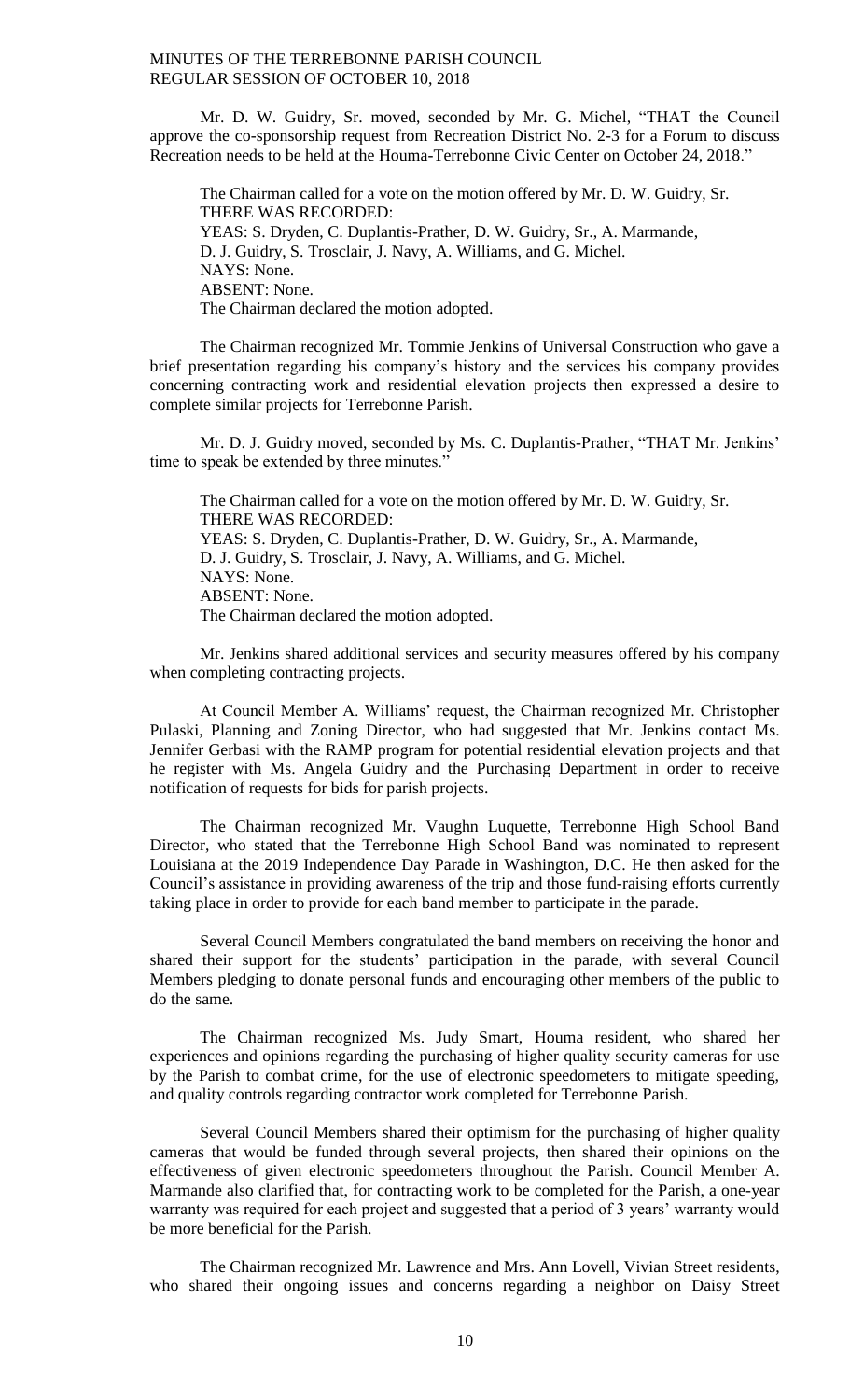Mr. D. W. Guidry, Sr. moved, seconded by Mr. G. Michel, "THAT the Council approve the co-sponsorship request from Recreation District No. 2-3 for a Forum to discuss Recreation needs to be held at the Houma-Terrebonne Civic Center on October 24, 2018."

The Chairman called for a vote on the motion offered by Mr. D. W. Guidry, Sr. THERE WAS RECORDED: YEAS: S. Dryden, C. Duplantis-Prather, D. W. Guidry, Sr., A. Marmande, D. J. Guidry, S. Trosclair, J. Navy, A. Williams, and G. Michel. NAYS: None. ABSENT: None. The Chairman declared the motion adopted.

The Chairman recognized Mr. Tommie Jenkins of Universal Construction who gave a brief presentation regarding his company's history and the services his company provides concerning contracting work and residential elevation projects then expressed a desire to complete similar projects for Terrebonne Parish.

Mr. D. J. Guidry moved, seconded by Ms. C. Duplantis-Prather, "THAT Mr. Jenkins' time to speak be extended by three minutes."

The Chairman called for a vote on the motion offered by Mr. D. W. Guidry, Sr. THERE WAS RECORDED: YEAS: S. Dryden, C. Duplantis-Prather, D. W. Guidry, Sr., A. Marmande, D. J. Guidry, S. Trosclair, J. Navy, A. Williams, and G. Michel. NAYS: None. ABSENT: None. The Chairman declared the motion adopted.

Mr. Jenkins shared additional services and security measures offered by his company when completing contracting projects.

At Council Member A. Williams' request, the Chairman recognized Mr. Christopher Pulaski, Planning and Zoning Director, who had suggested that Mr. Jenkins contact Ms. Jennifer Gerbasi with the RAMP program for potential residential elevation projects and that he register with Ms. Angela Guidry and the Purchasing Department in order to receive notification of requests for bids for parish projects.

The Chairman recognized Mr. Vaughn Luquette, Terrebonne High School Band Director, who stated that the Terrebonne High School Band was nominated to represent Louisiana at the 2019 Independence Day Parade in Washington, D.C. He then asked for the Council's assistance in providing awareness of the trip and those fund-raising efforts currently taking place in order to provide for each band member to participate in the parade.

Several Council Members congratulated the band members on receiving the honor and shared their support for the students' participation in the parade, with several Council Members pledging to donate personal funds and encouraging other members of the public to do the same.

The Chairman recognized Ms. Judy Smart, Houma resident, who shared her experiences and opinions regarding the purchasing of higher quality security cameras for use by the Parish to combat crime, for the use of electronic speedometers to mitigate speeding, and quality controls regarding contractor work completed for Terrebonne Parish.

Several Council Members shared their optimism for the purchasing of higher quality cameras that would be funded through several projects, then shared their opinions on the effectiveness of given electronic speedometers throughout the Parish. Council Member A. Marmande also clarified that, for contracting work to be completed for the Parish, a one-year warranty was required for each project and suggested that a period of 3 years' warranty would be more beneficial for the Parish.

The Chairman recognized Mr. Lawrence and Mrs. Ann Lovell, Vivian Street residents, who shared their ongoing issues and concerns regarding a neighbor on Daisy Street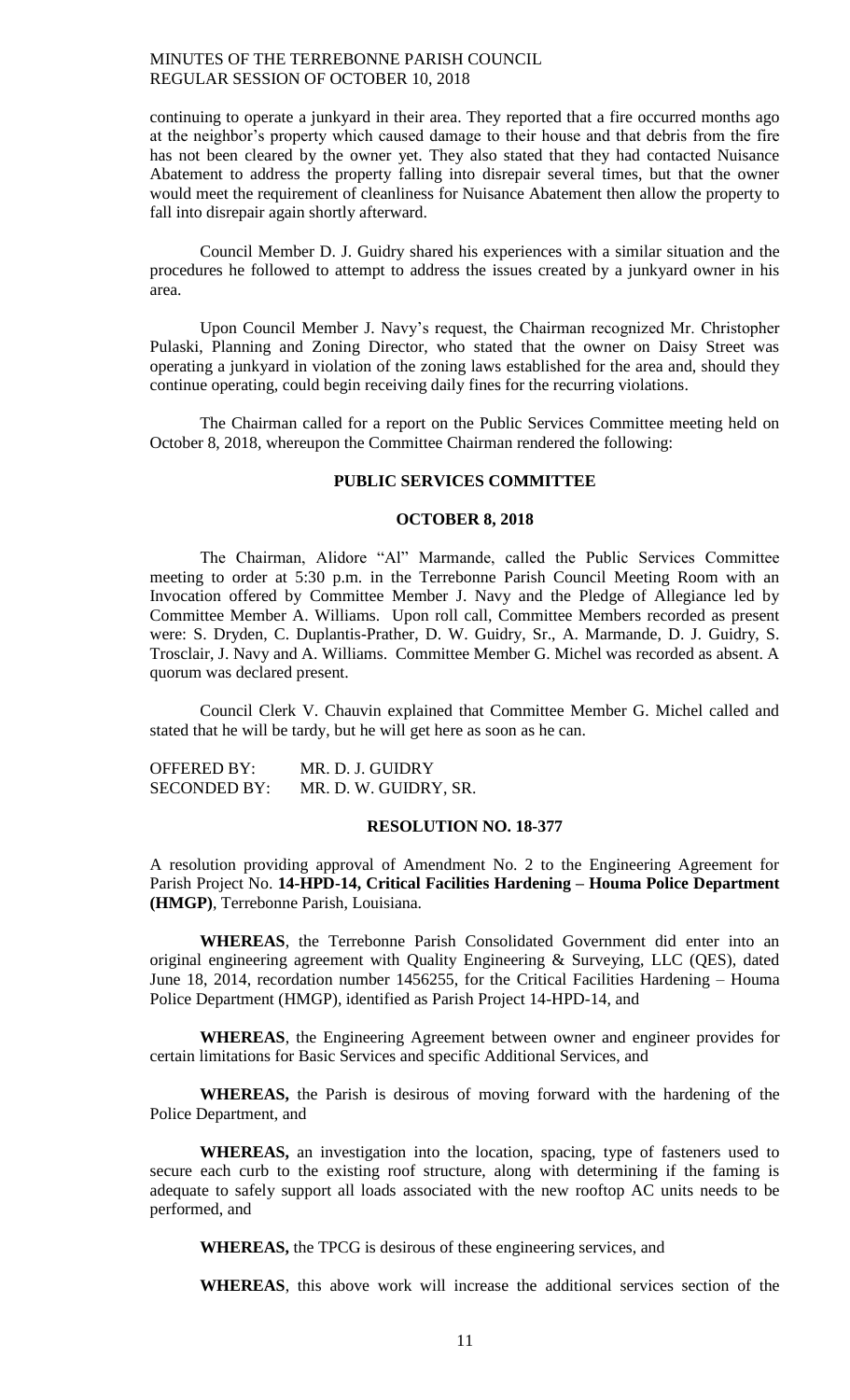continuing to operate a junkyard in their area. They reported that a fire occurred months ago at the neighbor's property which caused damage to their house and that debris from the fire has not been cleared by the owner yet. They also stated that they had contacted Nuisance Abatement to address the property falling into disrepair several times, but that the owner would meet the requirement of cleanliness for Nuisance Abatement then allow the property to fall into disrepair again shortly afterward.

Council Member D. J. Guidry shared his experiences with a similar situation and the procedures he followed to attempt to address the issues created by a junkyard owner in his area.

Upon Council Member J. Navy's request, the Chairman recognized Mr. Christopher Pulaski, Planning and Zoning Director, who stated that the owner on Daisy Street was operating a junkyard in violation of the zoning laws established for the area and, should they continue operating, could begin receiving daily fines for the recurring violations.

The Chairman called for a report on the Public Services Committee meeting held on October 8, 2018, whereupon the Committee Chairman rendered the following:

### **PUBLIC SERVICES COMMITTEE**

#### **OCTOBER 8, 2018**

The Chairman, Alidore "Al" Marmande, called the Public Services Committee meeting to order at 5:30 p.m. in the Terrebonne Parish Council Meeting Room with an Invocation offered by Committee Member J. Navy and the Pledge of Allegiance led by Committee Member A. Williams. Upon roll call, Committee Members recorded as present were: S. Dryden, C. Duplantis-Prather, D. W. Guidry, Sr., A. Marmande, D. J. Guidry, S. Trosclair, J. Navy and A. Williams. Committee Member G. Michel was recorded as absent. A quorum was declared present.

Council Clerk V. Chauvin explained that Committee Member G. Michel called and stated that he will be tardy, but he will get here as soon as he can.

| <b>OFFERED BY:</b>  | MR. D. J. GUIDRY      |
|---------------------|-----------------------|
| <b>SECONDED BY:</b> | MR. D. W. GUIDRY, SR. |

### **RESOLUTION NO. 18-377**

A resolution providing approval of Amendment No. 2 to the Engineering Agreement for Parish Project No. **14-HPD-14, Critical Facilities Hardening – Houma Police Department (HMGP)**, Terrebonne Parish, Louisiana.

**WHEREAS**, the Terrebonne Parish Consolidated Government did enter into an original engineering agreement with Quality Engineering & Surveying, LLC (QES), dated June 18, 2014, recordation number 1456255, for the Critical Facilities Hardening – Houma Police Department (HMGP), identified as Parish Project 14-HPD-14, and

**WHEREAS**, the Engineering Agreement between owner and engineer provides for certain limitations for Basic Services and specific Additional Services, and

**WHEREAS,** the Parish is desirous of moving forward with the hardening of the Police Department, and

**WHEREAS,** an investigation into the location, spacing, type of fasteners used to secure each curb to the existing roof structure, along with determining if the faming is adequate to safely support all loads associated with the new rooftop AC units needs to be performed, and

**WHEREAS,** the TPCG is desirous of these engineering services, and

**WHEREAS**, this above work will increase the additional services section of the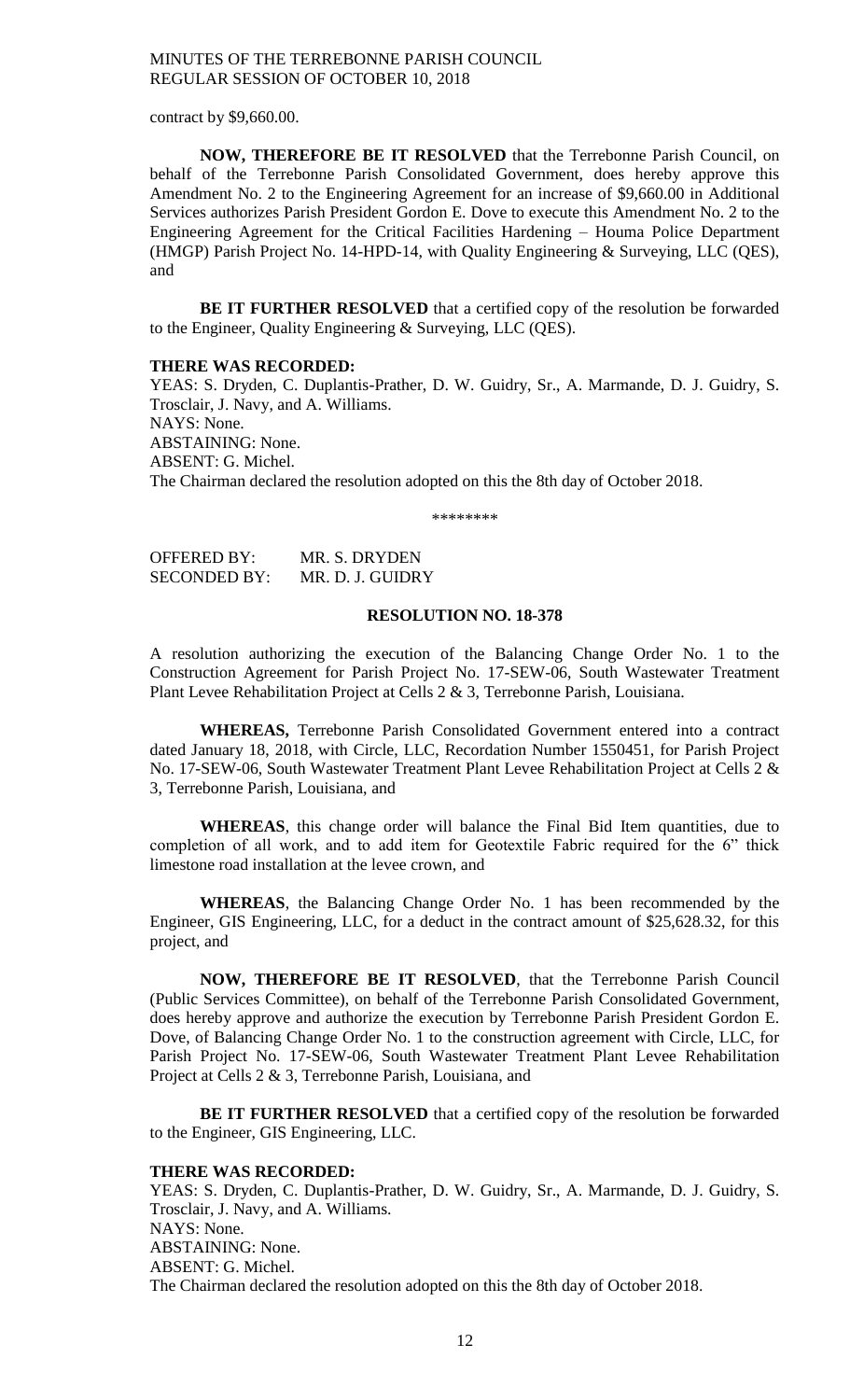contract by \$9,660.00.

**NOW, THEREFORE BE IT RESOLVED** that the Terrebonne Parish Council, on behalf of the Terrebonne Parish Consolidated Government, does hereby approve this Amendment No. 2 to the Engineering Agreement for an increase of \$9,660.00 in Additional Services authorizes Parish President Gordon E. Dove to execute this Amendment No. 2 to the Engineering Agreement for the Critical Facilities Hardening – Houma Police Department (HMGP) Parish Project No. 14-HPD-14, with Quality Engineering & Surveying, LLC (QES), and

**BE IT FURTHER RESOLVED** that a certified copy of the resolution be forwarded to the Engineer, Quality Engineering & Surveying, LLC (QES).

#### **THERE WAS RECORDED:**

YEAS: S. Dryden, C. Duplantis-Prather, D. W. Guidry, Sr., A. Marmande, D. J. Guidry, S. Trosclair, J. Navy, and A. Williams. NAYS: None. ABSTAINING: None. ABSENT: G. Michel. The Chairman declared the resolution adopted on this the 8th day of October 2018.

\*\*\*\*\*\*\*\*

| <b>OFFERED BY:</b>  | MR. S. DRYDEN    |
|---------------------|------------------|
| <b>SECONDED BY:</b> | MR. D. J. GUIDRY |

### **RESOLUTION NO. 18-378**

A resolution authorizing the execution of the Balancing Change Order No. 1 to the Construction Agreement for Parish Project No. 17-SEW-06, South Wastewater Treatment Plant Levee Rehabilitation Project at Cells 2 & 3, Terrebonne Parish, Louisiana.

**WHEREAS,** Terrebonne Parish Consolidated Government entered into a contract dated January 18, 2018, with Circle, LLC, Recordation Number 1550451, for Parish Project No. 17-SEW-06, South Wastewater Treatment Plant Levee Rehabilitation Project at Cells 2 & 3, Terrebonne Parish, Louisiana, and

**WHEREAS**, this change order will balance the Final Bid Item quantities, due to completion of all work, and to add item for Geotextile Fabric required for the 6" thick limestone road installation at the levee crown, and

**WHEREAS**, the Balancing Change Order No. 1 has been recommended by the Engineer, GIS Engineering, LLC, for a deduct in the contract amount of \$25,628.32, for this project, and

**NOW, THEREFORE BE IT RESOLVED**, that the Terrebonne Parish Council (Public Services Committee), on behalf of the Terrebonne Parish Consolidated Government, does hereby approve and authorize the execution by Terrebonne Parish President Gordon E. Dove, of Balancing Change Order No. 1 to the construction agreement with Circle, LLC, for Parish Project No. 17-SEW-06, South Wastewater Treatment Plant Levee Rehabilitation Project at Cells 2 & 3, Terrebonne Parish, Louisiana, and

**BE IT FURTHER RESOLVED** that a certified copy of the resolution be forwarded to the Engineer, GIS Engineering, LLC.

#### **THERE WAS RECORDED:**

YEAS: S. Dryden, C. Duplantis-Prather, D. W. Guidry, Sr., A. Marmande, D. J. Guidry, S. Trosclair, J. Navy, and A. Williams. NAYS: None. ABSTAINING: None. ABSENT: G. Michel. The Chairman declared the resolution adopted on this the 8th day of October 2018.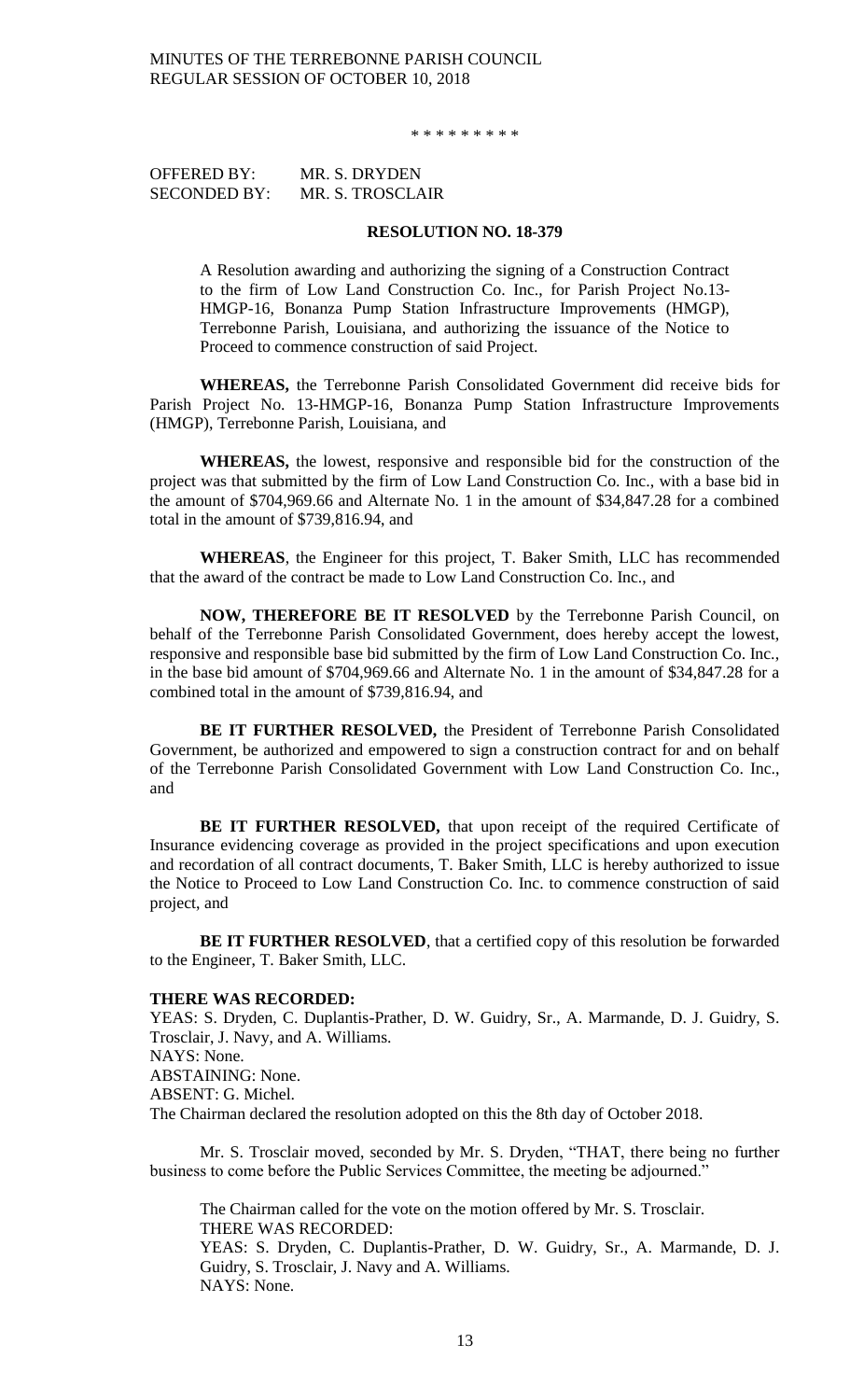\* \* \* \* \* \* \* \* \*

| OFFERED BY:         | MR. S. DRYDEN    |
|---------------------|------------------|
| <b>SECONDED BY:</b> | MR. S. TROSCLAIR |

#### **RESOLUTION NO. 18-379**

A Resolution awarding and authorizing the signing of a Construction Contract to the firm of Low Land Construction Co. Inc., for Parish Project No.13- HMGP-16, Bonanza Pump Station Infrastructure Improvements (HMGP), Terrebonne Parish, Louisiana, and authorizing the issuance of the Notice to Proceed to commence construction of said Project.

**WHEREAS,** the Terrebonne Parish Consolidated Government did receive bids for Parish Project No. 13-HMGP-16, Bonanza Pump Station Infrastructure Improvements (HMGP), Terrebonne Parish, Louisiana, and

**WHEREAS,** the lowest, responsive and responsible bid for the construction of the project was that submitted by the firm of Low Land Construction Co. Inc., with a base bid in the amount of \$704,969.66 and Alternate No. 1 in the amount of \$34,847.28 for a combined total in the amount of \$739,816.94, and

**WHEREAS**, the Engineer for this project, T. Baker Smith, LLC has recommended that the award of the contract be made to Low Land Construction Co. Inc., and

**NOW, THEREFORE BE IT RESOLVED** by the Terrebonne Parish Council, on behalf of the Terrebonne Parish Consolidated Government, does hereby accept the lowest, responsive and responsible base bid submitted by the firm of Low Land Construction Co. Inc., in the base bid amount of \$704,969.66 and Alternate No. 1 in the amount of \$34,847.28 for a combined total in the amount of \$739,816.94, and

**BE IT FURTHER RESOLVED,** the President of Terrebonne Parish Consolidated Government, be authorized and empowered to sign a construction contract for and on behalf of the Terrebonne Parish Consolidated Government with Low Land Construction Co. Inc., and

**BE IT FURTHER RESOLVED,** that upon receipt of the required Certificate of Insurance evidencing coverage as provided in the project specifications and upon execution and recordation of all contract documents, T. Baker Smith, LLC is hereby authorized to issue the Notice to Proceed to Low Land Construction Co. Inc. to commence construction of said project, and

**BE IT FURTHER RESOLVED**, that a certified copy of this resolution be forwarded to the Engineer, T. Baker Smith, LLC.

#### **THERE WAS RECORDED:**

YEAS: S. Dryden, C. Duplantis-Prather, D. W. Guidry, Sr., A. Marmande, D. J. Guidry, S. Trosclair, J. Navy, and A. Williams. NAYS: None. ABSTAINING: None. ABSENT: G. Michel. The Chairman declared the resolution adopted on this the 8th day of October 2018.

Mr. S. Trosclair moved, seconded by Mr. S. Dryden, "THAT, there being no further business to come before the Public Services Committee, the meeting be adjourned."

The Chairman called for the vote on the motion offered by Mr. S. Trosclair. THERE WAS RECORDED: YEAS: S. Dryden, C. Duplantis-Prather, D. W. Guidry, Sr., A. Marmande, D. J. Guidry, S. Trosclair, J. Navy and A. Williams. NAYS: None.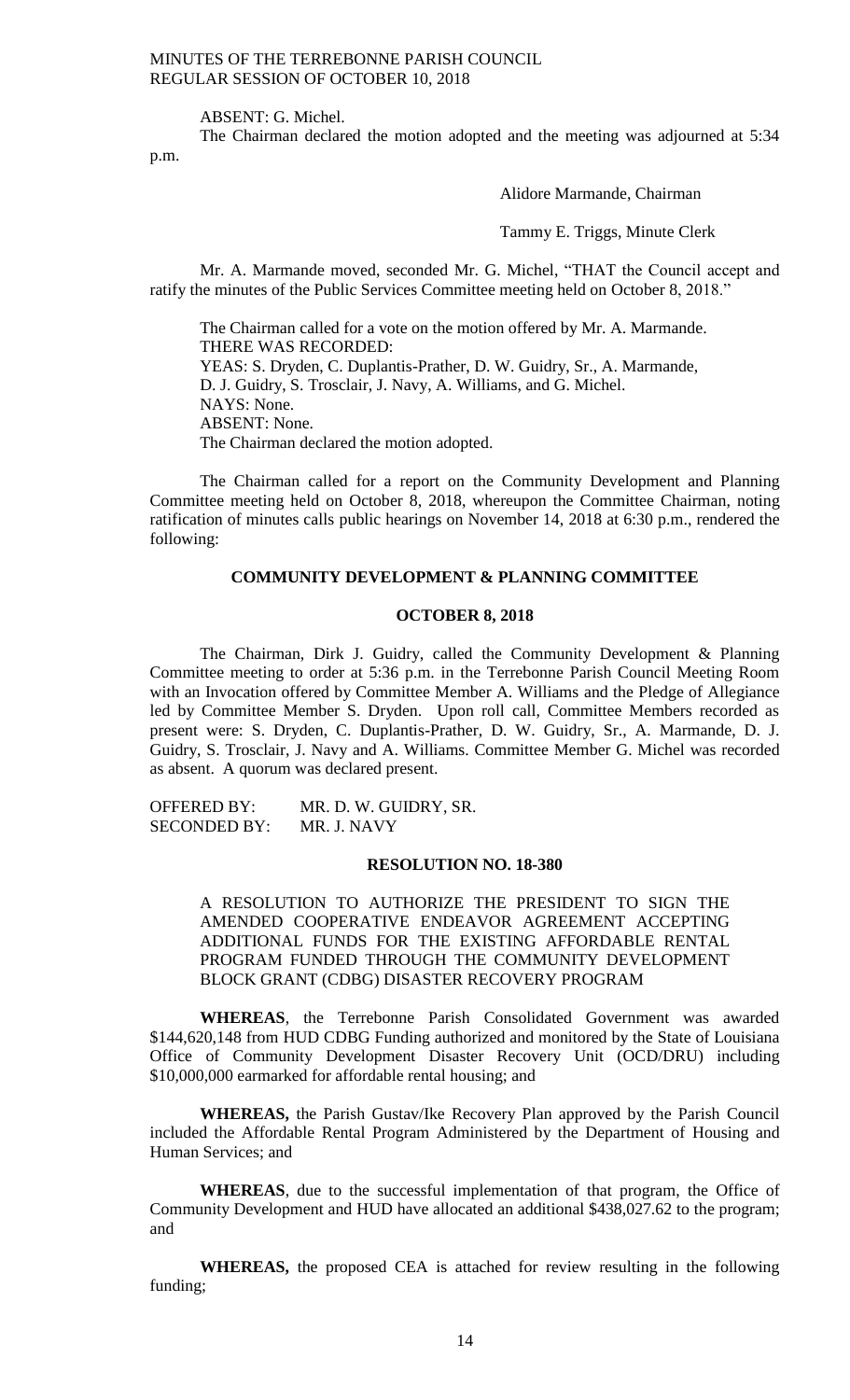ABSENT: G. Michel.

The Chairman declared the motion adopted and the meeting was adjourned at 5:34 p.m.

Alidore Marmande, Chairman

Tammy E. Triggs, Minute Clerk

Mr. A. Marmande moved, seconded Mr. G. Michel, "THAT the Council accept and ratify the minutes of the Public Services Committee meeting held on October 8, 2018."

The Chairman called for a vote on the motion offered by Mr. A. Marmande. THERE WAS RECORDED: YEAS: S. Dryden, C. Duplantis-Prather, D. W. Guidry, Sr., A. Marmande, D. J. Guidry, S. Trosclair, J. Navy, A. Williams, and G. Michel. NAYS: None. ABSENT: None. The Chairman declared the motion adopted.

The Chairman called for a report on the Community Development and Planning Committee meeting held on October 8, 2018, whereupon the Committee Chairman, noting ratification of minutes calls public hearings on November 14, 2018 at 6:30 p.m., rendered the following:

#### **COMMUNITY DEVELOPMENT & PLANNING COMMITTEE**

#### **OCTOBER 8, 2018**

The Chairman, Dirk J. Guidry, called the Community Development & Planning Committee meeting to order at 5:36 p.m. in the Terrebonne Parish Council Meeting Room with an Invocation offered by Committee Member A. Williams and the Pledge of Allegiance led by Committee Member S. Dryden. Upon roll call, Committee Members recorded as present were: S. Dryden, C. Duplantis-Prather, D. W. Guidry, Sr., A. Marmande, D. J. Guidry, S. Trosclair, J. Navy and A. Williams. Committee Member G. Michel was recorded as absent. A quorum was declared present.

OFFERED BY: MR. D. W. GUIDRY, SR. SECONDED BY: MR. J. NAVY

#### **RESOLUTION NO. 18-380**

A RESOLUTION TO AUTHORIZE THE PRESIDENT TO SIGN THE AMENDED COOPERATIVE ENDEAVOR AGREEMENT ACCEPTING ADDITIONAL FUNDS FOR THE EXISTING AFFORDABLE RENTAL PROGRAM FUNDED THROUGH THE COMMUNITY DEVELOPMENT BLOCK GRANT (CDBG) DISASTER RECOVERY PROGRAM

**WHEREAS**, the Terrebonne Parish Consolidated Government was awarded \$144,620,148 from HUD CDBG Funding authorized and monitored by the State of Louisiana Office of Community Development Disaster Recovery Unit (OCD/DRU) including \$10,000,000 earmarked for affordable rental housing; and

**WHEREAS,** the Parish Gustav/Ike Recovery Plan approved by the Parish Council included the Affordable Rental Program Administered by the Department of Housing and Human Services; and

**WHEREAS**, due to the successful implementation of that program, the Office of Community Development and HUD have allocated an additional \$438,027.62 to the program; and

**WHEREAS,** the proposed CEA is attached for review resulting in the following funding;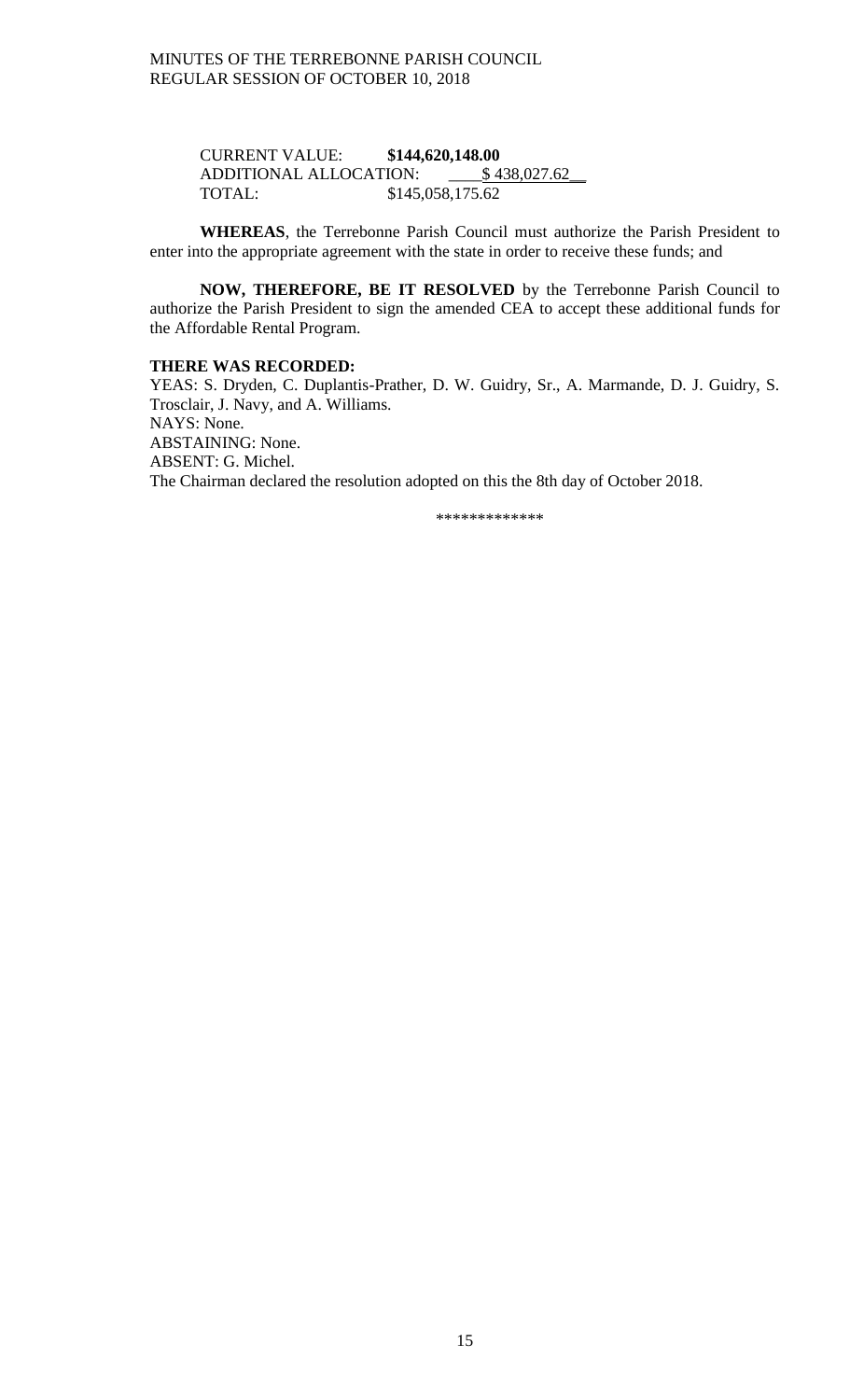CURRENT VALUE: **\$144,620,148.00** ADDITIONAL ALLOCATION: \_\_\_\_\$ 438,027.62\_\_ TOTAL: \$145,058,175.62

**WHEREAS**, the Terrebonne Parish Council must authorize the Parish President to enter into the appropriate agreement with the state in order to receive these funds; and

**NOW, THEREFORE, BE IT RESOLVED** by the Terrebonne Parish Council to authorize the Parish President to sign the amended CEA to accept these additional funds for the Affordable Rental Program.

### **THERE WAS RECORDED:**

YEAS: S. Dryden, C. Duplantis-Prather, D. W. Guidry, Sr., A. Marmande, D. J. Guidry, S. Trosclair, J. Navy, and A. Williams. NAYS: None. ABSTAINING: None. ABSENT: G. Michel. The Chairman declared the resolution adopted on this the 8th day of October 2018.

\*\*\*\*\*\*\*\*\*\*\*\*\*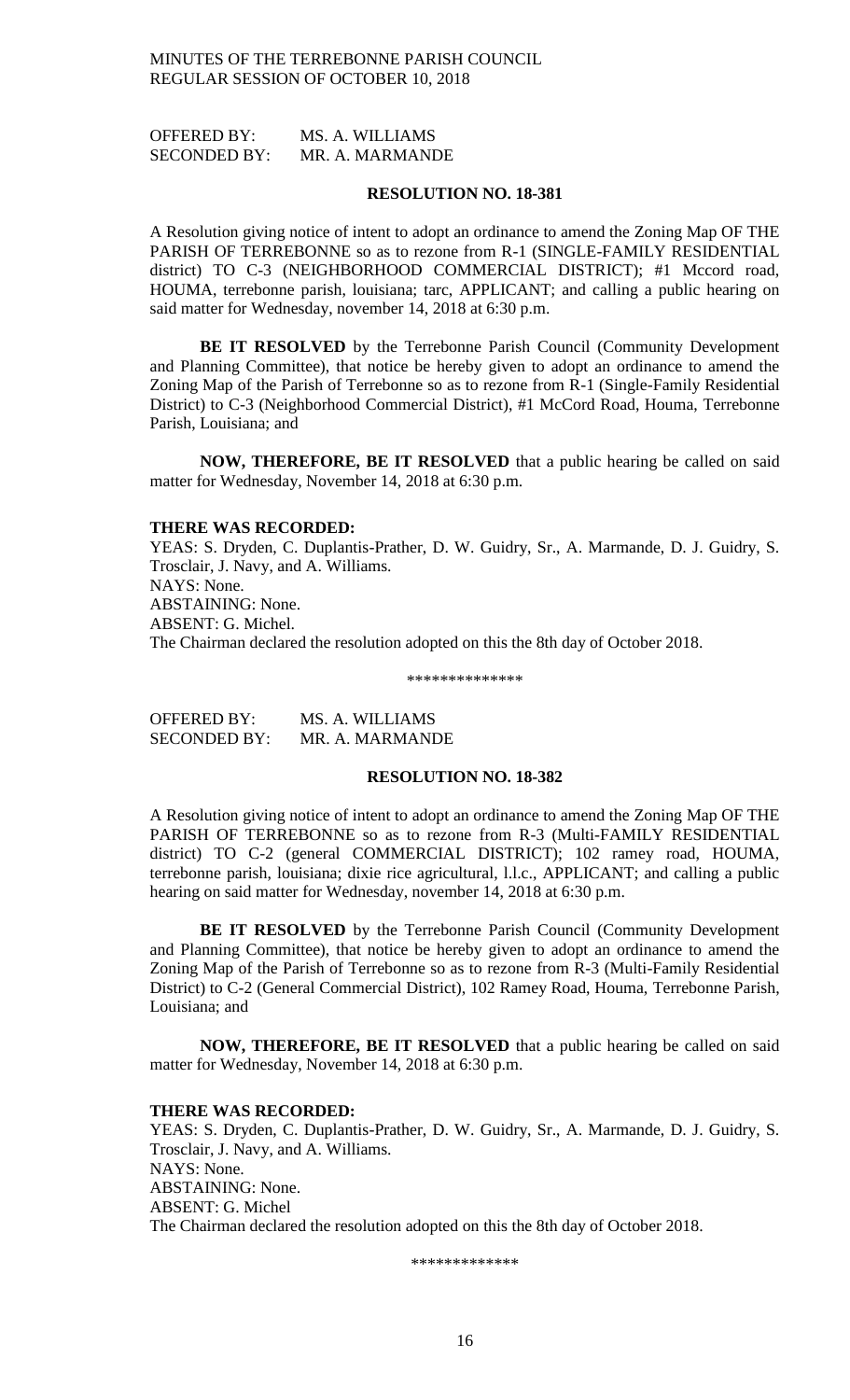OFFERED BY: MS. A. WILLIAMS SECONDED BY: MR. A. MARMANDE

#### **RESOLUTION NO. 18-381**

A Resolution giving notice of intent to adopt an ordinance to amend the Zoning Map OF THE PARISH OF TERREBONNE so as to rezone from R-1 (SINGLE-FAMILY RESIDENTIAL district) TO C-3 (NEIGHBORHOOD COMMERCIAL DISTRICT); #1 Mccord road, HOUMA, terrebonne parish, louisiana; tarc, APPLICANT; and calling a public hearing on said matter for Wednesday, november 14, 2018 at 6:30 p.m.

**BE IT RESOLVED** by the Terrebonne Parish Council (Community Development and Planning Committee), that notice be hereby given to adopt an ordinance to amend the Zoning Map of the Parish of Terrebonne so as to rezone from R-1 (Single-Family Residential District) to C-3 (Neighborhood Commercial District), #1 McCord Road, Houma, Terrebonne Parish, Louisiana; and

**NOW, THEREFORE, BE IT RESOLVED** that a public hearing be called on said matter for Wednesday, November 14, 2018 at 6:30 p.m.

#### **THERE WAS RECORDED:**

YEAS: S. Dryden, C. Duplantis-Prather, D. W. Guidry, Sr., A. Marmande, D. J. Guidry, S. Trosclair, J. Navy, and A. Williams. NAYS: None. ABSTAINING: None. ABSENT: G. Michel. The Chairman declared the resolution adopted on this the 8th day of October 2018.

\*\*\*\*\*\*\*\*\*\*\*\*\*\*

OFFERED BY: MS. A. WILLIAMS SECONDED BY: MR. A. MARMANDE

#### **RESOLUTION NO. 18-382**

A Resolution giving notice of intent to adopt an ordinance to amend the Zoning Map OF THE PARISH OF TERREBONNE so as to rezone from R-3 (Multi-FAMILY RESIDENTIAL district) TO C-2 (general COMMERCIAL DISTRICT); 102 ramey road, HOUMA, terrebonne parish, louisiana; dixie rice agricultural, l.l.c., APPLICANT; and calling a public hearing on said matter for Wednesday, november 14, 2018 at 6:30 p.m.

**BE IT RESOLVED** by the Terrebonne Parish Council (Community Development and Planning Committee), that notice be hereby given to adopt an ordinance to amend the Zoning Map of the Parish of Terrebonne so as to rezone from R-3 (Multi-Family Residential District) to C-2 (General Commercial District), 102 Ramey Road, Houma, Terrebonne Parish, Louisiana; and

**NOW, THEREFORE, BE IT RESOLVED** that a public hearing be called on said matter for Wednesday, November 14, 2018 at 6:30 p.m.

#### **THERE WAS RECORDED:**

YEAS: S. Dryden, C. Duplantis-Prather, D. W. Guidry, Sr., A. Marmande, D. J. Guidry, S. Trosclair, J. Navy, and A. Williams. NAYS: None. ABSTAINING: None. ABSENT: G. Michel The Chairman declared the resolution adopted on this the 8th day of October 2018.

\*\*\*\*\*\*\*\*\*\*\*\*\*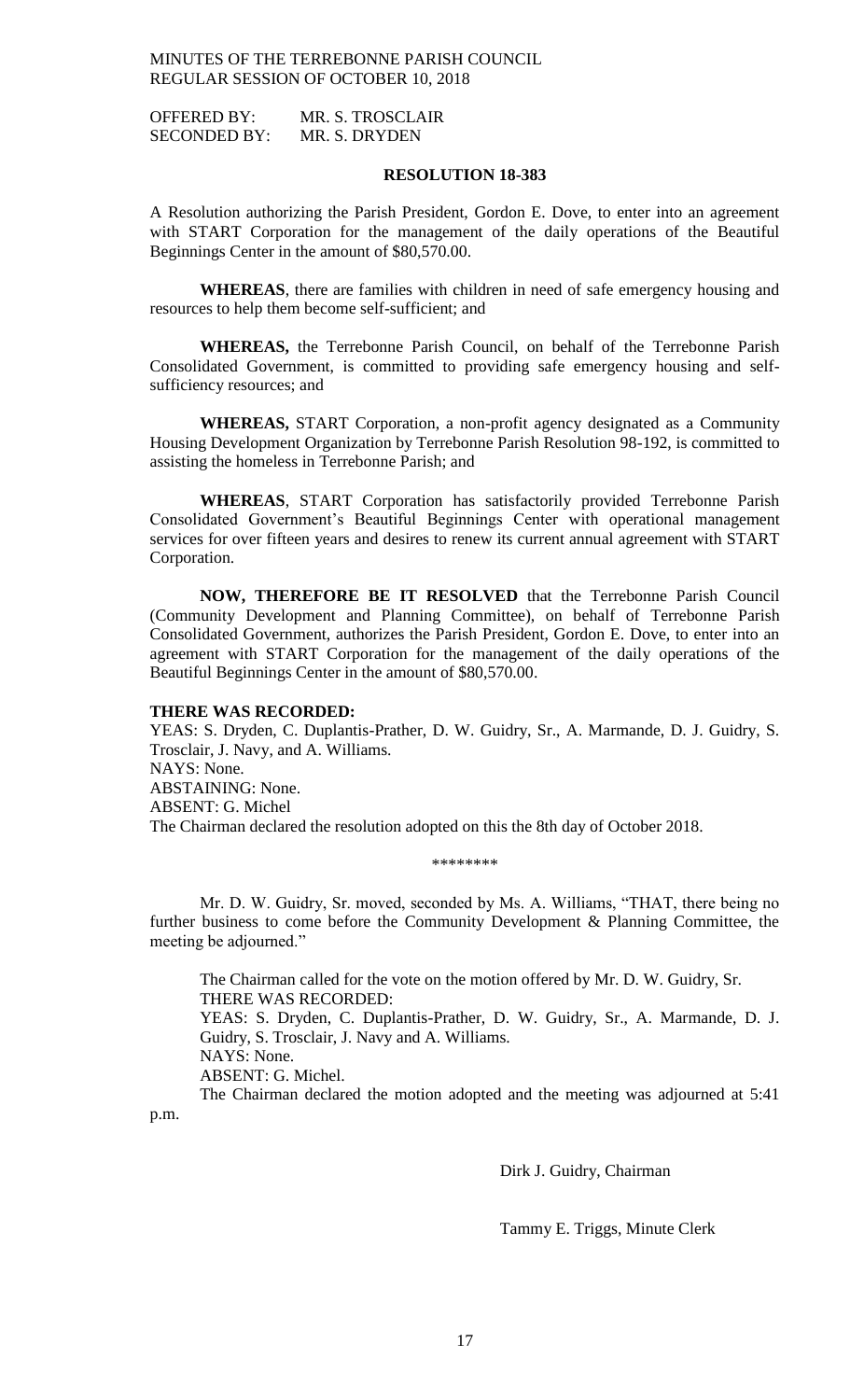OFFERED BY: MR. S. TROSCLAIR SECONDED BY: MR. S. DRYDEN

#### **RESOLUTION 18-383**

A Resolution authorizing the Parish President, Gordon E. Dove, to enter into an agreement with START Corporation for the management of the daily operations of the Beautiful Beginnings Center in the amount of \$80,570.00.

**WHEREAS**, there are families with children in need of safe emergency housing and resources to help them become self-sufficient; and

**WHEREAS,** the Terrebonne Parish Council, on behalf of the Terrebonne Parish Consolidated Government, is committed to providing safe emergency housing and selfsufficiency resources; and

**WHEREAS,** START Corporation, a non-profit agency designated as a Community Housing Development Organization by Terrebonne Parish Resolution 98-192, is committed to assisting the homeless in Terrebonne Parish; and

**WHEREAS**, START Corporation has satisfactorily provided Terrebonne Parish Consolidated Government's Beautiful Beginnings Center with operational management services for over fifteen years and desires to renew its current annual agreement with START Corporation.

**NOW, THEREFORE BE IT RESOLVED** that the Terrebonne Parish Council (Community Development and Planning Committee), on behalf of Terrebonne Parish Consolidated Government, authorizes the Parish President, Gordon E. Dove, to enter into an agreement with START Corporation for the management of the daily operations of the Beautiful Beginnings Center in the amount of \$80,570.00.

### **THERE WAS RECORDED:**

YEAS: S. Dryden, C. Duplantis-Prather, D. W. Guidry, Sr., A. Marmande, D. J. Guidry, S. Trosclair, J. Navy, and A. Williams. NAYS: None. ABSTAINING: None. ABSENT: G. Michel The Chairman declared the resolution adopted on this the 8th day of October 2018.

#### \*\*\*\*\*\*\*\*\*\*\*\*

Mr. D. W. Guidry, Sr. moved, seconded by Ms. A. Williams, "THAT, there being no further business to come before the Community Development & Planning Committee, the meeting be adjourned."

The Chairman called for the vote on the motion offered by Mr. D. W. Guidry, Sr. THERE WAS RECORDED: YEAS: S. Dryden, C. Duplantis-Prather, D. W. Guidry, Sr., A. Marmande, D. J. Guidry, S. Trosclair, J. Navy and A. Williams. NAYS: None. ABSENT: G. Michel. The Chairman declared the motion adopted and the meeting was adjourned at 5:41

p.m.

Dirk J. Guidry, Chairman

Tammy E. Triggs, Minute Clerk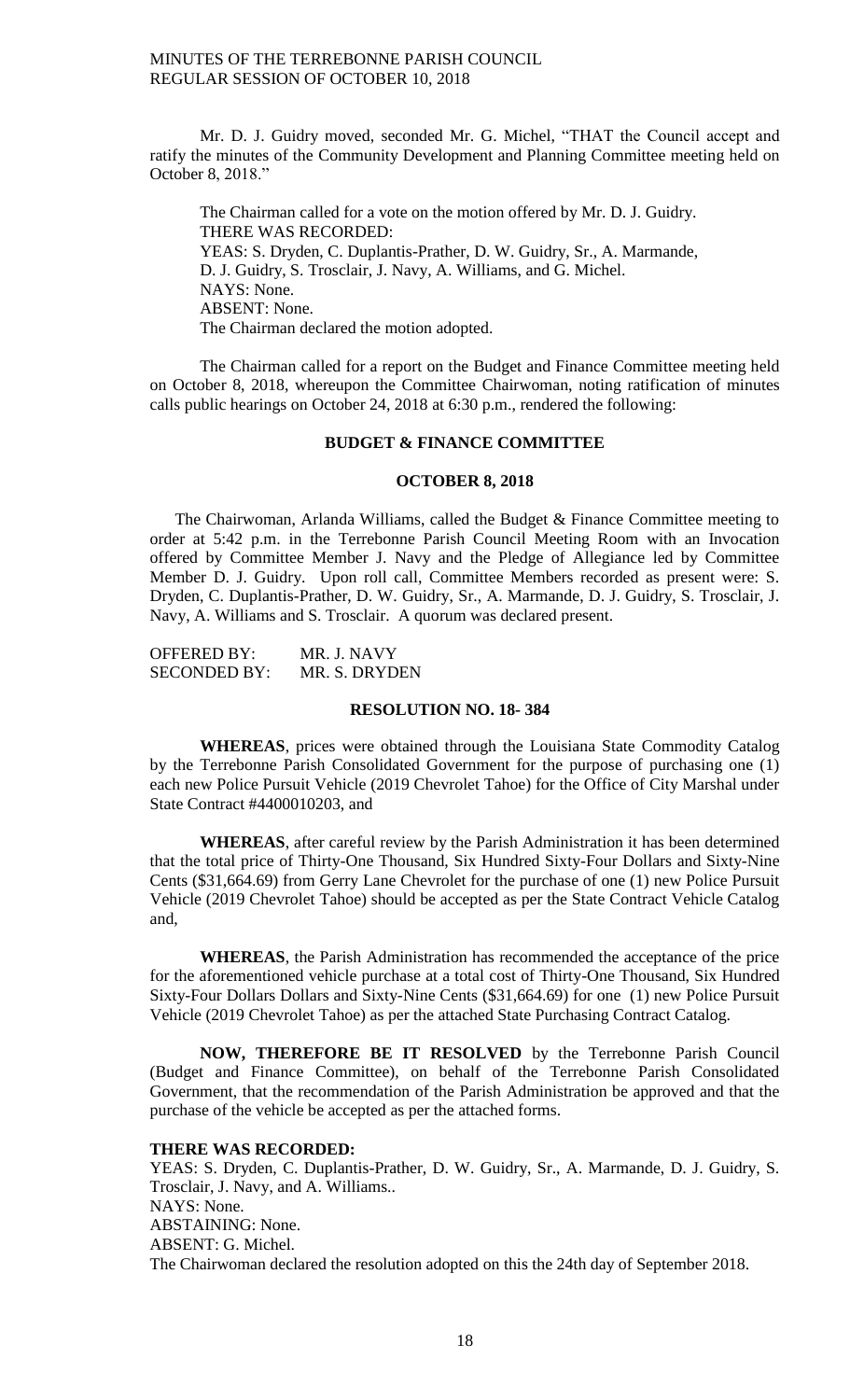Mr. D. J. Guidry moved, seconded Mr. G. Michel, "THAT the Council accept and ratify the minutes of the Community Development and Planning Committee meeting held on October 8, 2018."

The Chairman called for a vote on the motion offered by Mr. D. J. Guidry. THERE WAS RECORDED: YEAS: S. Dryden, C. Duplantis-Prather, D. W. Guidry, Sr., A. Marmande, D. J. Guidry, S. Trosclair, J. Navy, A. Williams, and G. Michel. NAYS: None. ABSENT: None. The Chairman declared the motion adopted.

The Chairman called for a report on the Budget and Finance Committee meeting held on October 8, 2018, whereupon the Committee Chairwoman, noting ratification of minutes calls public hearings on October 24, 2018 at 6:30 p.m., rendered the following:

#### **BUDGET & FINANCE COMMITTEE**

### **OCTOBER 8, 2018**

The Chairwoman, Arlanda Williams, called the Budget & Finance Committee meeting to order at 5:42 p.m. in the Terrebonne Parish Council Meeting Room with an Invocation offered by Committee Member J. Navy and the Pledge of Allegiance led by Committee Member D. J. Guidry. Upon roll call, Committee Members recorded as present were: S. Dryden, C. Duplantis-Prather, D. W. Guidry, Sr., A. Marmande, D. J. Guidry, S. Trosclair, J. Navy, A. Williams and S. Trosclair. A quorum was declared present.

| OFFERED BY:         | MR. J. NAVY   |
|---------------------|---------------|
| <b>SECONDED BY:</b> | MR. S. DRYDEN |

#### **RESOLUTION NO. 18- 384**

**WHEREAS**, prices were obtained through the Louisiana State Commodity Catalog by the Terrebonne Parish Consolidated Government for the purpose of purchasing one (1) each new Police Pursuit Vehicle (2019 Chevrolet Tahoe) for the Office of City Marshal under State Contract #4400010203, and

**WHEREAS**, after careful review by the Parish Administration it has been determined that the total price of Thirty-One Thousand, Six Hundred Sixty-Four Dollars and Sixty-Nine Cents (\$31,664.69) from Gerry Lane Chevrolet for the purchase of one (1) new Police Pursuit Vehicle (2019 Chevrolet Tahoe) should be accepted as per the State Contract Vehicle Catalog and,

**WHEREAS**, the Parish Administration has recommended the acceptance of the price for the aforementioned vehicle purchase at a total cost of Thirty-One Thousand, Six Hundred Sixty-Four Dollars Dollars and Sixty-Nine Cents (\$31,664.69) for one (1) new Police Pursuit Vehicle (2019 Chevrolet Tahoe) as per the attached State Purchasing Contract Catalog.

**NOW, THEREFORE BE IT RESOLVED** by the Terrebonne Parish Council (Budget and Finance Committee), on behalf of the Terrebonne Parish Consolidated Government, that the recommendation of the Parish Administration be approved and that the purchase of the vehicle be accepted as per the attached forms.

### **THERE WAS RECORDED:**

YEAS: S. Dryden, C. Duplantis-Prather, D. W. Guidry, Sr., A. Marmande, D. J. Guidry, S. Trosclair, J. Navy, and A. Williams.. NAYS: None. ABSTAINING: None. ABSENT: G. Michel. The Chairwoman declared the resolution adopted on this the 24th day of September 2018.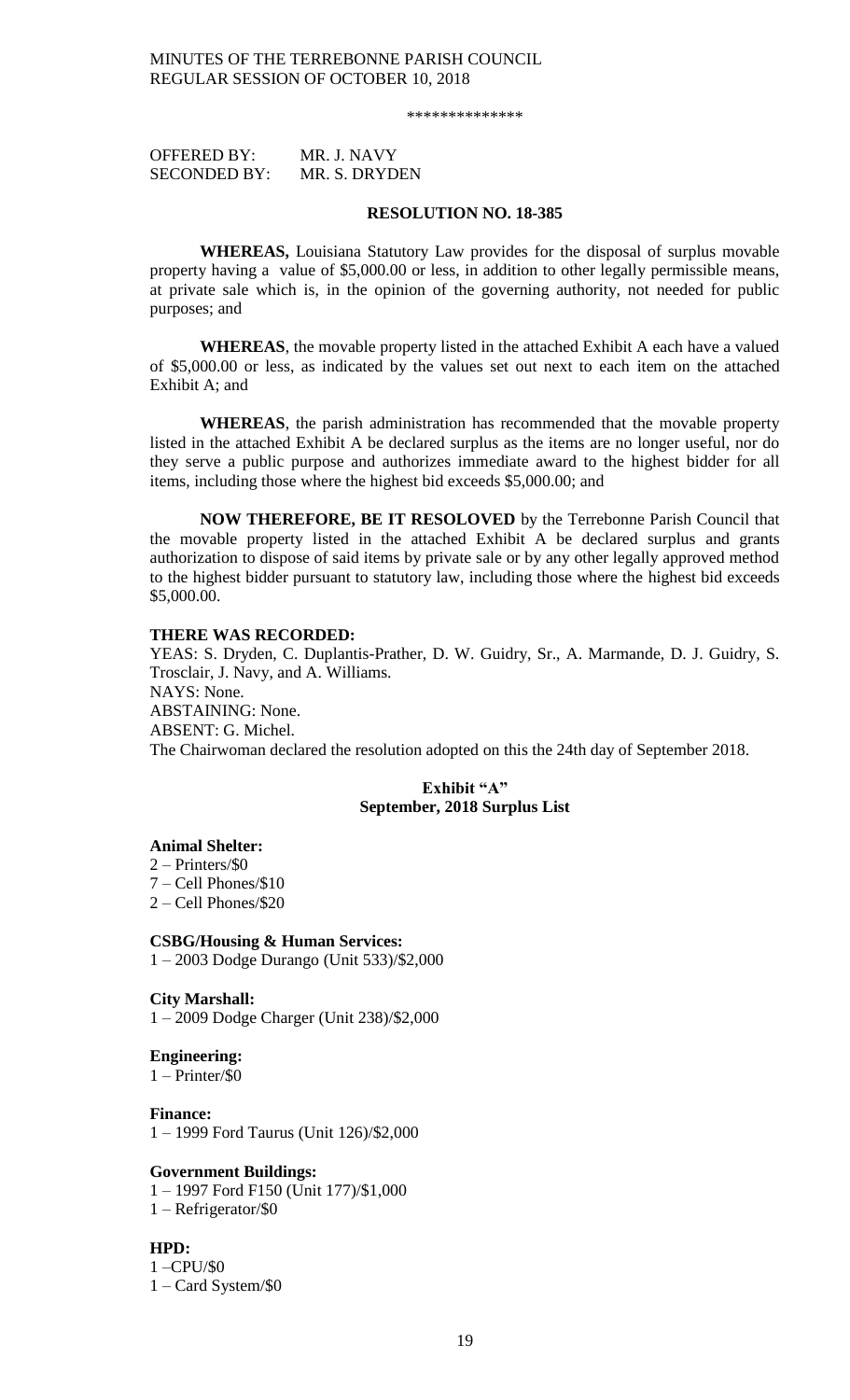\*\*\*\*\*\*\*\*\*\*\*\*\*\*

| <b>OFFERED BY:</b>  | MR. J. NAVY   |
|---------------------|---------------|
| <b>SECONDED BY:</b> | MR. S. DRYDEN |

#### **RESOLUTION NO. 18-385**

**WHEREAS,** Louisiana Statutory Law provides for the disposal of surplus movable property having a value of \$5,000.00 or less, in addition to other legally permissible means, at private sale which is, in the opinion of the governing authority, not needed for public purposes; and

**WHEREAS**, the movable property listed in the attached Exhibit A each have a valued of \$5,000.00 or less, as indicated by the values set out next to each item on the attached Exhibit A; and

**WHEREAS**, the parish administration has recommended that the movable property listed in the attached Exhibit A be declared surplus as the items are no longer useful, nor do they serve a public purpose and authorizes immediate award to the highest bidder for all items, including those where the highest bid exceeds \$5,000.00; and

**NOW THEREFORE, BE IT RESOLOVED** by the Terrebonne Parish Council that the movable property listed in the attached Exhibit A be declared surplus and grants authorization to dispose of said items by private sale or by any other legally approved method to the highest bidder pursuant to statutory law, including those where the highest bid exceeds \$5,000.00.

#### **THERE WAS RECORDED:**

YEAS: S. Dryden, C. Duplantis-Prather, D. W. Guidry, Sr., A. Marmande, D. J. Guidry, S. Trosclair, J. Navy, and A. Williams. NAYS: None. ABSTAINING: None. ABSENT: G. Michel. The Chairwoman declared the resolution adopted on this the 24th day of September 2018.

### **Exhibit "A" September, 2018 Surplus List**

#### **Animal Shelter:**

2 – Printers/\$0

- 7 Cell Phones/\$10
- 2 Cell Phones/\$20

#### **CSBG/Housing & Human Services:**

1 – 2003 Dodge Durango (Unit 533)/\$2,000

### **City Marshall:**

1 – 2009 Dodge Charger (Unit 238)/\$2,000

#### **Engineering:**

1 – Printer/\$0

#### **Finance:**

1 – 1999 Ford Taurus (Unit 126)/\$2,000

#### **Government Buildings:**

1 – 1997 Ford F150 (Unit 177)/\$1,000

1 – Refrigerator/\$0

### **HPD:**

1 –CPU/\$0 1 – Card System/\$0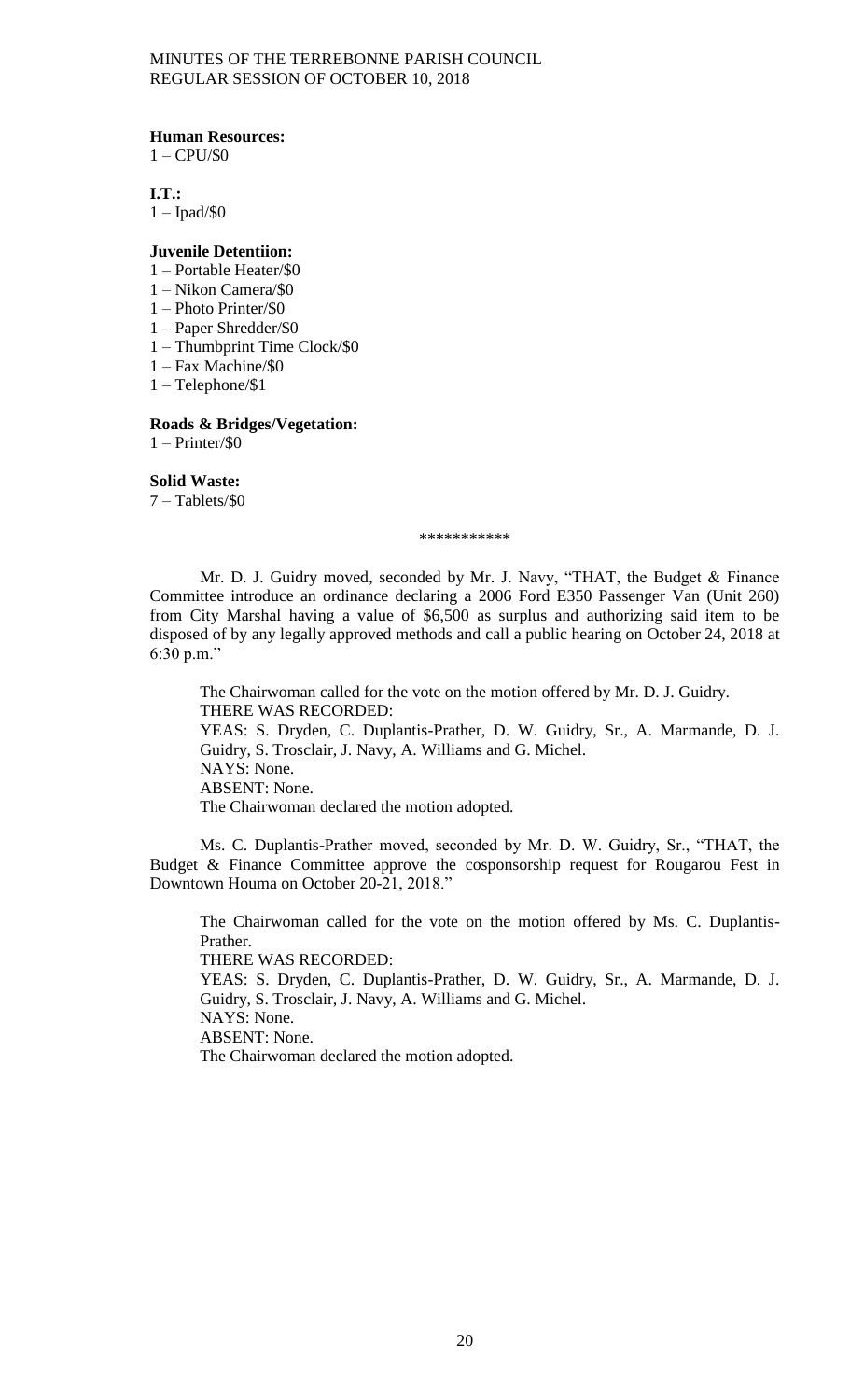**Human Resources:**

 $1 - \text{CPU}/\$0$ 

**I.T.:**

1 – Ipad/\$0

#### **Juvenile Detentiion:**

- 1 Portable Heater/\$0
- 1 Nikon Camera/\$0
- 1 Photo Printer/\$0
- 1 Paper Shredder/\$0
- 1 Thumbprint Time Clock/\$0
- 1 Fax Machine/\$0
- 1 Telephone/\$1

### **Roads & Bridges/Vegetation:**

1 – Printer/\$0

### **Solid Waste:**

7 – Tablets/\$0

\*\*\*\*\*\*\*\*\*\*\*

Mr. D. J. Guidry moved, seconded by Mr. J. Navy, "THAT, the Budget & Finance Committee introduce an ordinance declaring a 2006 Ford E350 Passenger Van (Unit 260) from City Marshal having a value of \$6,500 as surplus and authorizing said item to be disposed of by any legally approved methods and call a public hearing on October 24, 2018 at 6:30 p.m."

The Chairwoman called for the vote on the motion offered by Mr. D. J. Guidry. THERE WAS RECORDED: YEAS: S. Dryden, C. Duplantis-Prather, D. W. Guidry, Sr., A. Marmande, D. J. Guidry, S. Trosclair, J. Navy, A. Williams and G. Michel. NAYS: None. ABSENT: None. The Chairwoman declared the motion adopted.

Ms. C. Duplantis-Prather moved, seconded by Mr. D. W. Guidry, Sr., "THAT, the Budget & Finance Committee approve the cosponsorship request for Rougarou Fest in Downtown Houma on October 20-21, 2018."

The Chairwoman called for the vote on the motion offered by Ms. C. Duplantis-Prather. THERE WAS RECORDED: YEAS: S. Dryden, C. Duplantis-Prather, D. W. Guidry, Sr., A. Marmande, D. J. Guidry, S. Trosclair, J. Navy, A. Williams and G. Michel. NAYS: None. ABSENT: None.

The Chairwoman declared the motion adopted.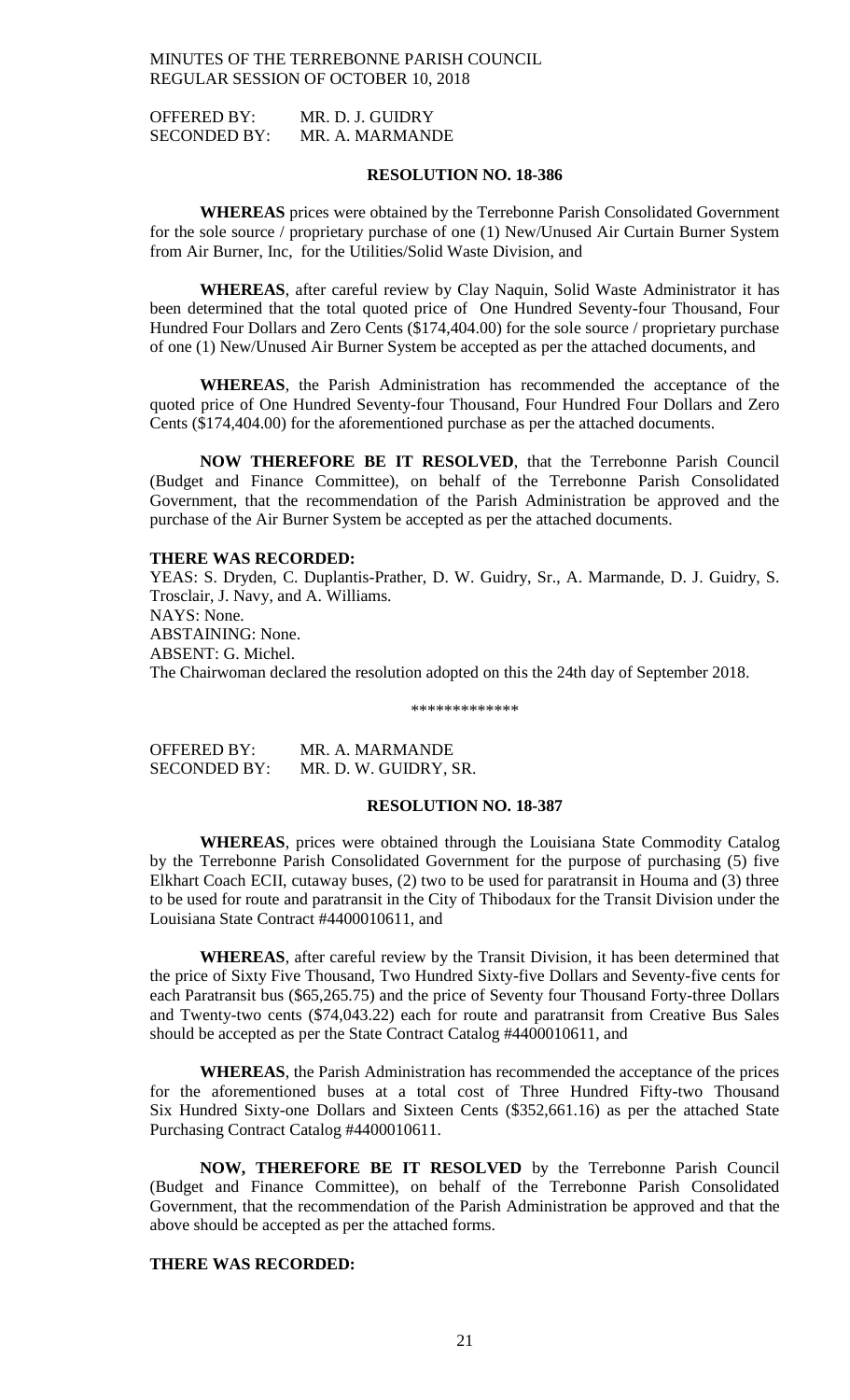OFFERED BY: MR. D. J. GUIDRY SECONDED BY: MR. A. MARMANDE

#### **RESOLUTION NO. 18-386**

**WHEREAS** prices were obtained by the Terrebonne Parish Consolidated Government for the sole source / proprietary purchase of one (1) New/Unused Air Curtain Burner System from Air Burner, Inc, for the Utilities/Solid Waste Division, and

**WHEREAS**, after careful review by Clay Naquin, Solid Waste Administrator it has been determined that the total quoted price of One Hundred Seventy-four Thousand, Four Hundred Four Dollars and Zero Cents (\$174,404.00) for the sole source / proprietary purchase of one (1) New/Unused Air Burner System be accepted as per the attached documents, and

**WHEREAS**, the Parish Administration has recommended the acceptance of the quoted price of One Hundred Seventy-four Thousand, Four Hundred Four Dollars and Zero Cents (\$174,404.00) for the aforementioned purchase as per the attached documents.

**NOW THEREFORE BE IT RESOLVED**, that the Terrebonne Parish Council (Budget and Finance Committee), on behalf of the Terrebonne Parish Consolidated Government, that the recommendation of the Parish Administration be approved and the purchase of the Air Burner System be accepted as per the attached documents.

#### **THERE WAS RECORDED:**

YEAS: S. Dryden, C. Duplantis-Prather, D. W. Guidry, Sr., A. Marmande, D. J. Guidry, S. Trosclair, J. Navy, and A. Williams. NAYS: None. ABSTAINING: None. ABSENT: G. Michel. The Chairwoman declared the resolution adopted on this the 24th day of September 2018.

#### \*\*\*\*\*\*\*\*\*\*\*\*\*

| OFFERED BY:         | MR. A. MARMANDE       |
|---------------------|-----------------------|
| <b>SECONDED BY:</b> | MR. D. W. GUIDRY, SR. |

#### **RESOLUTION NO. 18-387**

**WHEREAS**, prices were obtained through the Louisiana State Commodity Catalog by the Terrebonne Parish Consolidated Government for the purpose of purchasing (5) five Elkhart Coach ECII, cutaway buses, (2) two to be used for paratransit in Houma and (3) three to be used for route and paratransit in the City of Thibodaux for the Transit Division under the Louisiana State Contract #4400010611, and

**WHEREAS**, after careful review by the Transit Division, it has been determined that the price of Sixty Five Thousand, Two Hundred Sixty-five Dollars and Seventy-five cents for each Paratransit bus (\$65,265.75) and the price of Seventy four Thousand Forty-three Dollars and Twenty-two cents (\$74,043.22) each for route and paratransit from Creative Bus Sales should be accepted as per the State Contract Catalog #4400010611, and

**WHEREAS**, the Parish Administration has recommended the acceptance of the prices for the aforementioned buses at a total cost of Three Hundred Fifty-two Thousand Six Hundred Sixty-one Dollars and Sixteen Cents (\$352,661.16) as per the attached State Purchasing Contract Catalog #4400010611.

**NOW, THEREFORE BE IT RESOLVED** by the Terrebonne Parish Council (Budget and Finance Committee), on behalf of the Terrebonne Parish Consolidated Government, that the recommendation of the Parish Administration be approved and that the above should be accepted as per the attached forms.

### **THERE WAS RECORDED:**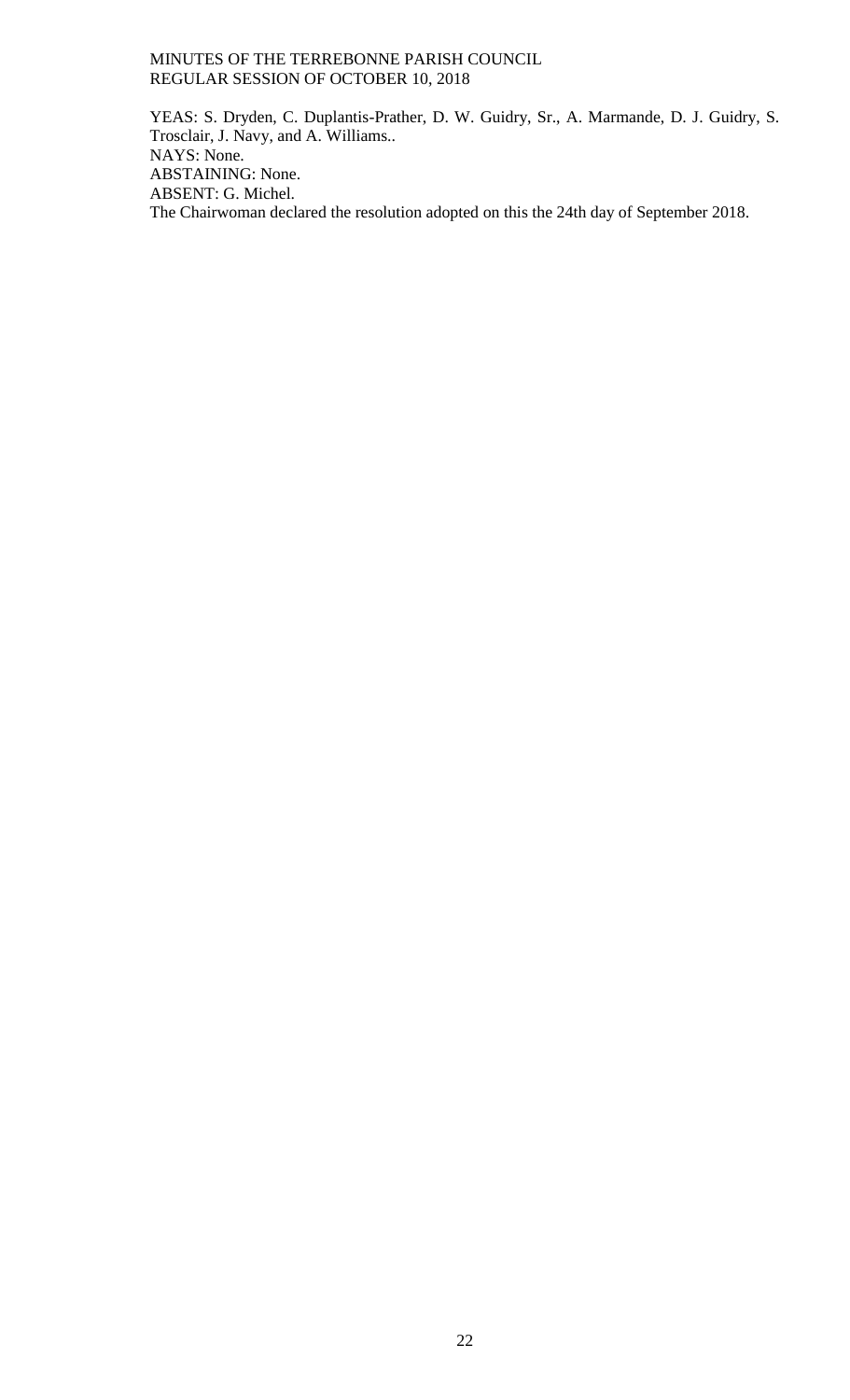YEAS: S. Dryden, C. Duplantis-Prather, D. W. Guidry, Sr., A. Marmande, D. J. Guidry, S. Trosclair, J. Navy, and A. Williams.. NAYS: None. ABSTAINING: None. ABSENT: G. Michel. The Chairwoman declared the resolution adopted on this the 24th day of September 2018.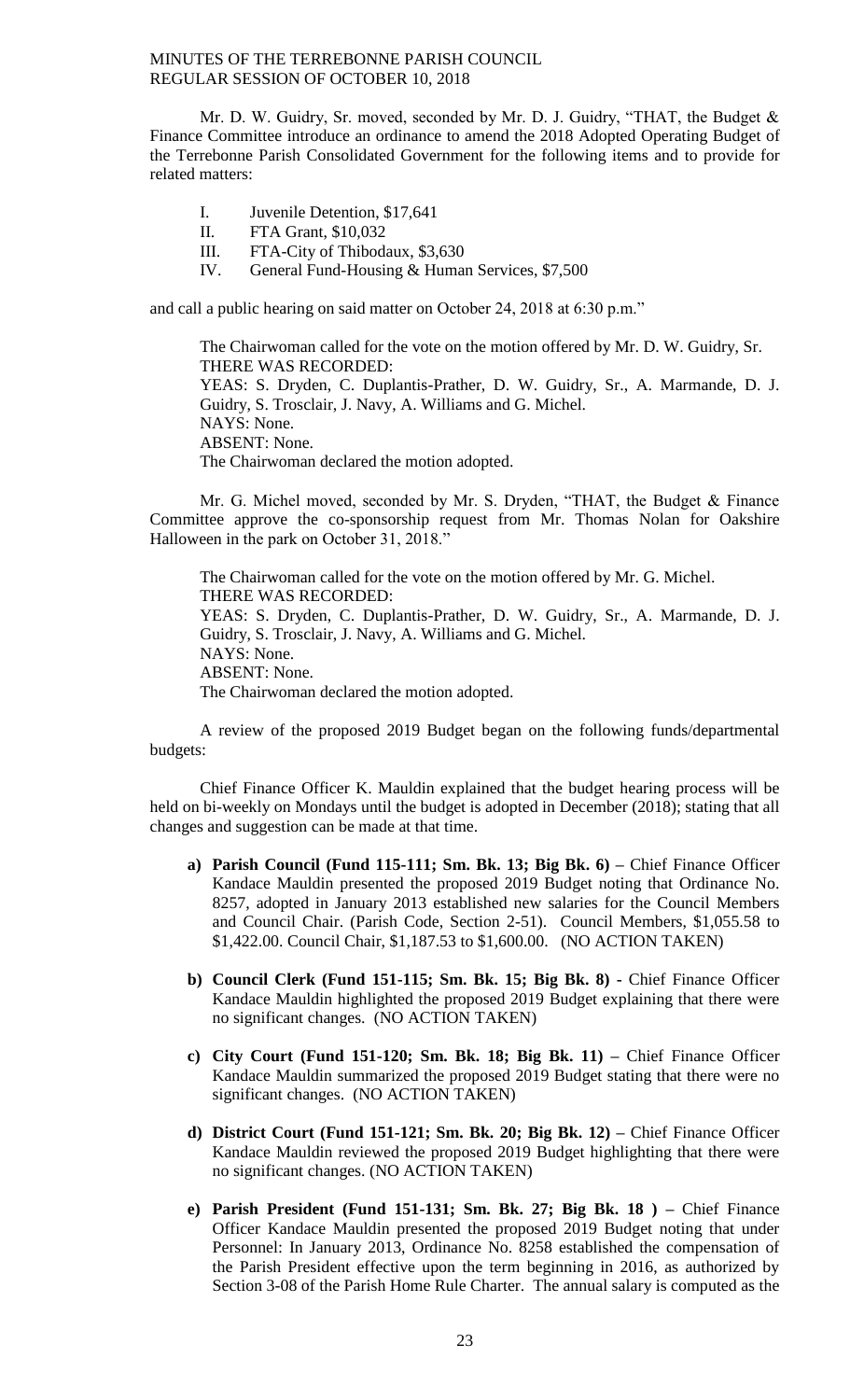Mr. D. W. Guidry, Sr. moved, seconded by Mr. D. J. Guidry, "THAT, the Budget & Finance Committee introduce an ordinance to amend the 2018 Adopted Operating Budget of the Terrebonne Parish Consolidated Government for the following items and to provide for related matters:

- I. Juvenile Detention, \$17,641
- II. FTA Grant, \$10,032
- III. FTA-City of Thibodaux, \$3,630
- IV. General Fund-Housing & Human Services, \$7,500

and call a public hearing on said matter on October 24, 2018 at 6:30 p.m."

The Chairwoman called for the vote on the motion offered by Mr. D. W. Guidry, Sr. THERE WAS RECORDED: YEAS: S. Dryden, C. Duplantis-Prather, D. W. Guidry, Sr., A. Marmande, D. J. Guidry, S. Trosclair, J. Navy, A. Williams and G. Michel. NAYS: None. ABSENT: None. The Chairwoman declared the motion adopted.

Mr. G. Michel moved, seconded by Mr. S. Dryden, "THAT, the Budget & Finance Committee approve the co-sponsorship request from Mr. Thomas Nolan for Oakshire Halloween in the park on October 31, 2018."

The Chairwoman called for the vote on the motion offered by Mr. G. Michel. THERE WAS RECORDED: YEAS: S. Dryden, C. Duplantis-Prather, D. W. Guidry, Sr., A. Marmande, D. J. Guidry, S. Trosclair, J. Navy, A. Williams and G. Michel. NAYS: None. ABSENT: None. The Chairwoman declared the motion adopted.

A review of the proposed 2019 Budget began on the following funds/departmental budgets:

Chief Finance Officer K. Mauldin explained that the budget hearing process will be held on bi-weekly on Mondays until the budget is adopted in December (2018); stating that all changes and suggestion can be made at that time.

- **a) Parish Council (Fund 115-111; Sm. Bk. 13; Big Bk. 6) –** Chief Finance Officer Kandace Mauldin presented the proposed 2019 Budget noting that Ordinance No. 8257, adopted in January 2013 established new salaries for the Council Members and Council Chair. (Parish Code, Section 2-51). Council Members, \$1,055.58 to \$1,422.00. Council Chair, \$1,187.53 to \$1,600.00. (NO ACTION TAKEN)
- **b) Council Clerk (Fund 151-115; Sm. Bk. 15; Big Bk. 8) -** Chief Finance Officer Kandace Mauldin highlighted the proposed 2019 Budget explaining that there were no significant changes. (NO ACTION TAKEN)
- **c) City Court (Fund 151-120; Sm. Bk. 18; Big Bk. 11) –** Chief Finance Officer Kandace Mauldin summarized the proposed 2019 Budget stating that there were no significant changes. (NO ACTION TAKEN)
- **d) District Court (Fund 151-121; Sm. Bk. 20; Big Bk. 12) –** Chief Finance Officer Kandace Mauldin reviewed the proposed 2019 Budget highlighting that there were no significant changes. (NO ACTION TAKEN)
- **e) Parish President (Fund 151-131; Sm. Bk. 27; Big Bk. 18 ) –** Chief Finance Officer Kandace Mauldin presented the proposed 2019 Budget noting that under Personnel: In January 2013, Ordinance No. 8258 established the compensation of the Parish President effective upon the term beginning in 2016, as authorized by Section 3-08 of the Parish Home Rule Charter. The annual salary is computed as the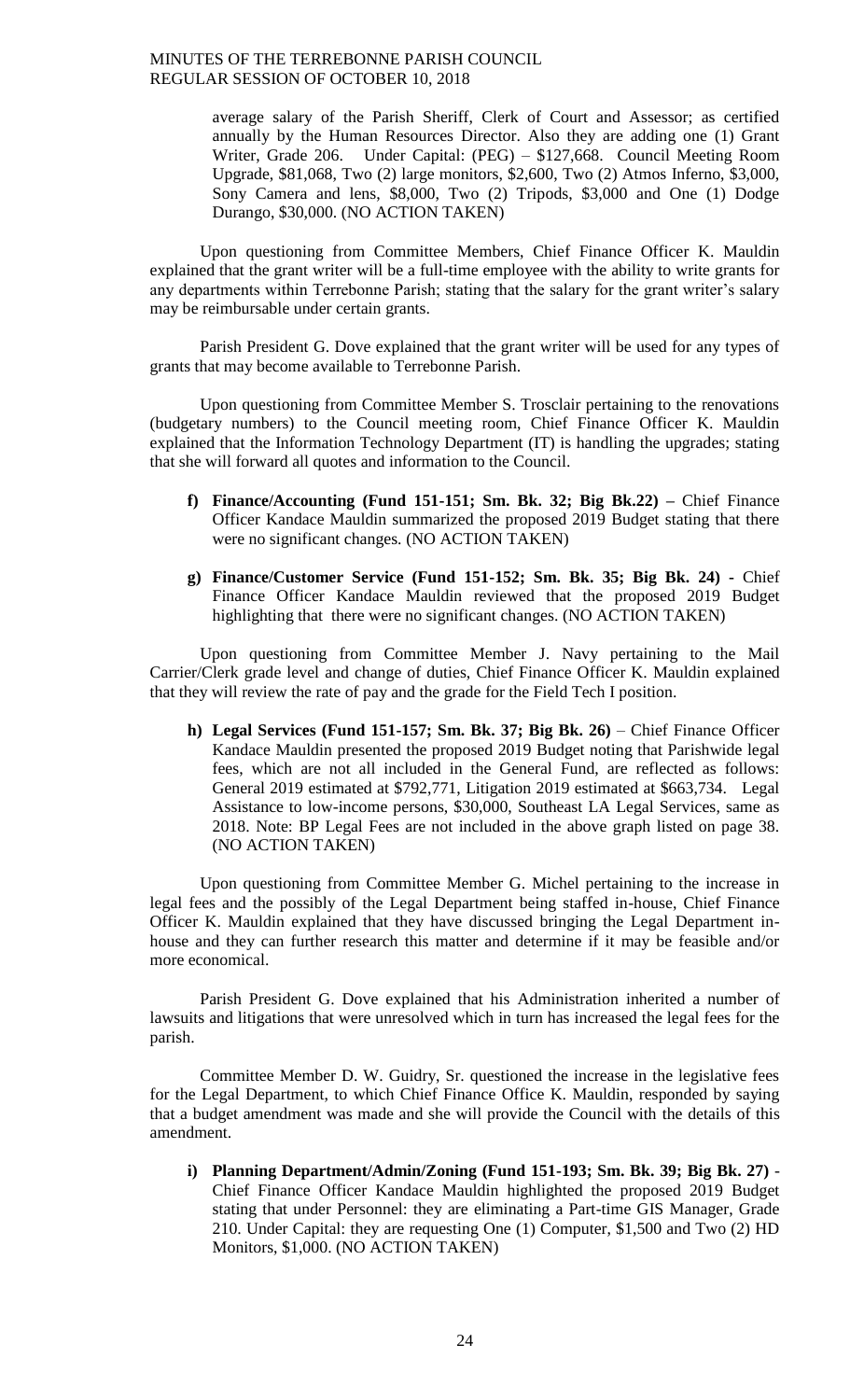average salary of the Parish Sheriff, Clerk of Court and Assessor; as certified annually by the Human Resources Director. Also they are adding one (1) Grant Writer, Grade 206. Under Capital: (PEG) – \$127,668. Council Meeting Room Upgrade, \$81,068, Two (2) large monitors, \$2,600, Two (2) Atmos Inferno, \$3,000, Sony Camera and lens, \$8,000, Two (2) Tripods, \$3,000 and One (1) Dodge Durango, \$30,000. (NO ACTION TAKEN)

Upon questioning from Committee Members, Chief Finance Officer K. Mauldin explained that the grant writer will be a full-time employee with the ability to write grants for any departments within Terrebonne Parish; stating that the salary for the grant writer's salary may be reimbursable under certain grants.

Parish President G. Dove explained that the grant writer will be used for any types of grants that may become available to Terrebonne Parish.

Upon questioning from Committee Member S. Trosclair pertaining to the renovations (budgetary numbers) to the Council meeting room, Chief Finance Officer K. Mauldin explained that the Information Technology Department (IT) is handling the upgrades; stating that she will forward all quotes and information to the Council.

- **f) Finance/Accounting (Fund 151-151; Sm. Bk. 32; Big Bk.22) –** Chief Finance Officer Kandace Mauldin summarized the proposed 2019 Budget stating that there were no significant changes. (NO ACTION TAKEN)
- **g) Finance/Customer Service (Fund 151-152; Sm. Bk. 35; Big Bk. 24) -** Chief Finance Officer Kandace Mauldin reviewed that the proposed 2019 Budget highlighting that there were no significant changes. (NO ACTION TAKEN)

Upon questioning from Committee Member J. Navy pertaining to the Mail Carrier/Clerk grade level and change of duties, Chief Finance Officer K. Mauldin explained that they will review the rate of pay and the grade for the Field Tech I position.

**h) Legal Services (Fund 151-157; Sm. Bk. 37; Big Bk. 26)** – Chief Finance Officer Kandace Mauldin presented the proposed 2019 Budget noting that Parishwide legal fees, which are not all included in the General Fund, are reflected as follows: General 2019 estimated at \$792,771, Litigation 2019 estimated at \$663,734. Legal Assistance to low-income persons, \$30,000, Southeast LA Legal Services, same as 2018. Note: BP Legal Fees are not included in the above graph listed on page 38. (NO ACTION TAKEN)

Upon questioning from Committee Member G. Michel pertaining to the increase in legal fees and the possibly of the Legal Department being staffed in-house, Chief Finance Officer K. Mauldin explained that they have discussed bringing the Legal Department inhouse and they can further research this matter and determine if it may be feasible and/or more economical.

Parish President G. Dove explained that his Administration inherited a number of lawsuits and litigations that were unresolved which in turn has increased the legal fees for the parish.

Committee Member D. W. Guidry, Sr. questioned the increase in the legislative fees for the Legal Department, to which Chief Finance Office K. Mauldin, responded by saying that a budget amendment was made and she will provide the Council with the details of this amendment.

**i) Planning Department/Admin/Zoning (Fund 151-193; Sm. Bk. 39; Big Bk. 27)** - Chief Finance Officer Kandace Mauldin highlighted the proposed 2019 Budget stating that under Personnel: they are eliminating a Part-time GIS Manager, Grade 210. Under Capital: they are requesting One (1) Computer, \$1,500 and Two (2) HD Monitors, \$1,000. (NO ACTION TAKEN)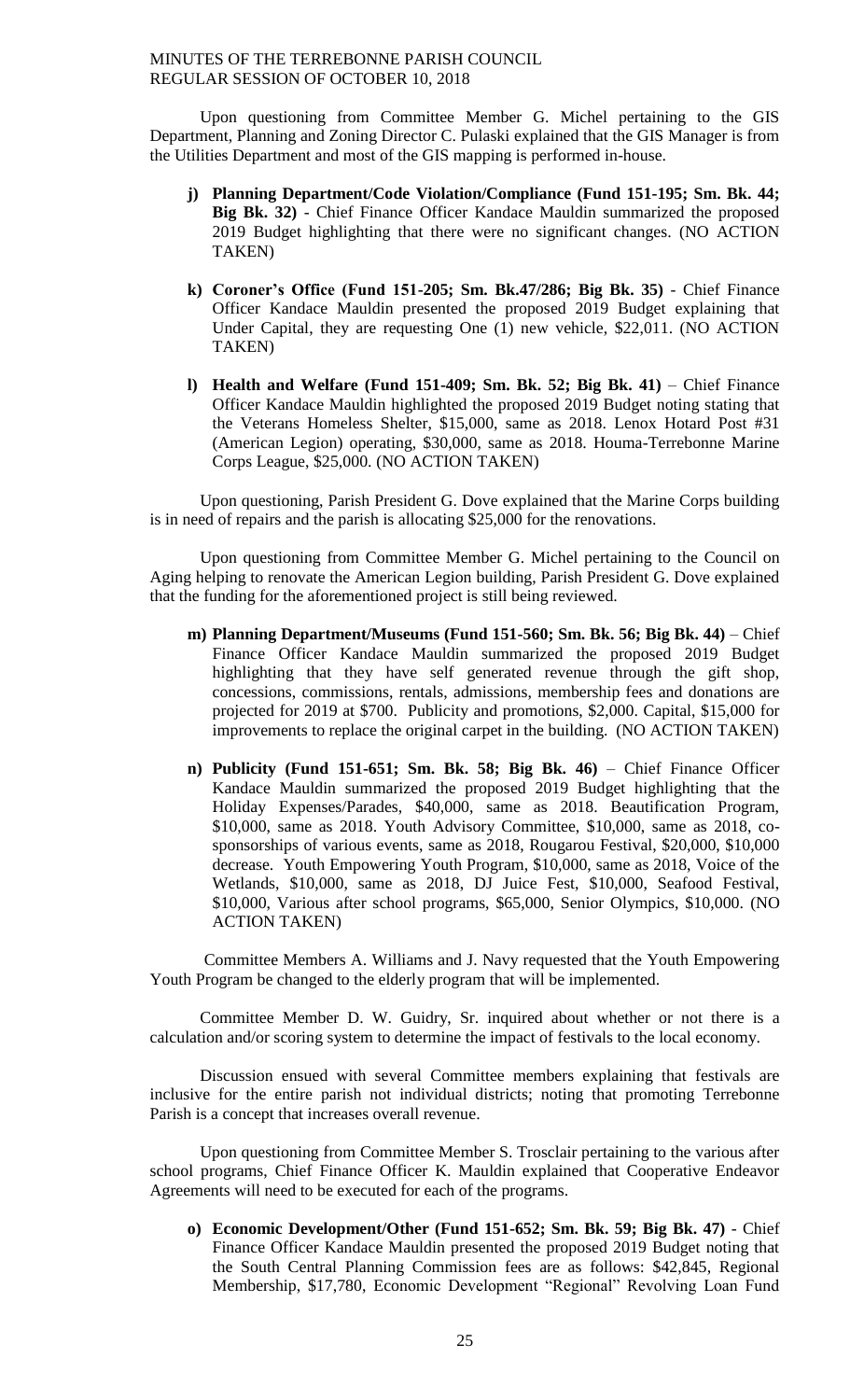Upon questioning from Committee Member G. Michel pertaining to the GIS Department, Planning and Zoning Director C. Pulaski explained that the GIS Manager is from the Utilities Department and most of the GIS mapping is performed in-house.

- **j) Planning Department/Code Violation/Compliance (Fund 151-195; Sm. Bk. 44; Big Bk. 32)** - Chief Finance Officer Kandace Mauldin summarized the proposed 2019 Budget highlighting that there were no significant changes. (NO ACTION TAKEN)
- **k) Coroner's Office (Fund 151-205; Sm. Bk.47/286; Big Bk. 35)** Chief Finance Officer Kandace Mauldin presented the proposed 2019 Budget explaining that Under Capital, they are requesting One (1) new vehicle, \$22,011. (NO ACTION TAKEN)
- **l) Health and Welfare (Fund 151-409; Sm. Bk. 52; Big Bk. 41)** Chief Finance Officer Kandace Mauldin highlighted the proposed 2019 Budget noting stating that the Veterans Homeless Shelter, \$15,000, same as 2018. Lenox Hotard Post #31 (American Legion) operating, \$30,000, same as 2018. Houma-Terrebonne Marine Corps League, \$25,000. (NO ACTION TAKEN)

Upon questioning, Parish President G. Dove explained that the Marine Corps building is in need of repairs and the parish is allocating \$25,000 for the renovations.

Upon questioning from Committee Member G. Michel pertaining to the Council on Aging helping to renovate the American Legion building, Parish President G. Dove explained that the funding for the aforementioned project is still being reviewed.

- **m) Planning Department/Museums (Fund 151-560; Sm. Bk. 56; Big Bk. 44)** Chief Finance Officer Kandace Mauldin summarized the proposed 2019 Budget highlighting that they have self generated revenue through the gift shop, concessions, commissions, rentals, admissions, membership fees and donations are projected for 2019 at \$700. Publicity and promotions, \$2,000. Capital, \$15,000 for improvements to replace the original carpet in the building. (NO ACTION TAKEN)
- **n) Publicity (Fund 151-651; Sm. Bk. 58; Big Bk. 46)** Chief Finance Officer Kandace Mauldin summarized the proposed 2019 Budget highlighting that the Holiday Expenses/Parades, \$40,000, same as 2018. Beautification Program, \$10,000, same as 2018. Youth Advisory Committee, \$10,000, same as 2018, cosponsorships of various events, same as 2018, Rougarou Festival, \$20,000, \$10,000 decrease. Youth Empowering Youth Program, \$10,000, same as 2018, Voice of the Wetlands, \$10,000, same as 2018, DJ Juice Fest, \$10,000, Seafood Festival, \$10,000, Various after school programs, \$65,000, Senior Olympics, \$10,000. (NO ACTION TAKEN)

Committee Members A. Williams and J. Navy requested that the Youth Empowering Youth Program be changed to the elderly program that will be implemented.

Committee Member D. W. Guidry, Sr. inquired about whether or not there is a calculation and/or scoring system to determine the impact of festivals to the local economy.

Discussion ensued with several Committee members explaining that festivals are inclusive for the entire parish not individual districts; noting that promoting Terrebonne Parish is a concept that increases overall revenue.

Upon questioning from Committee Member S. Trosclair pertaining to the various after school programs, Chief Finance Officer K. Mauldin explained that Cooperative Endeavor Agreements will need to be executed for each of the programs.

**o) Economic Development/Other (Fund 151-652; Sm. Bk. 59; Big Bk. 47)** - Chief Finance Officer Kandace Mauldin presented the proposed 2019 Budget noting that the South Central Planning Commission fees are as follows: \$42,845, Regional Membership, \$17,780, Economic Development "Regional" Revolving Loan Fund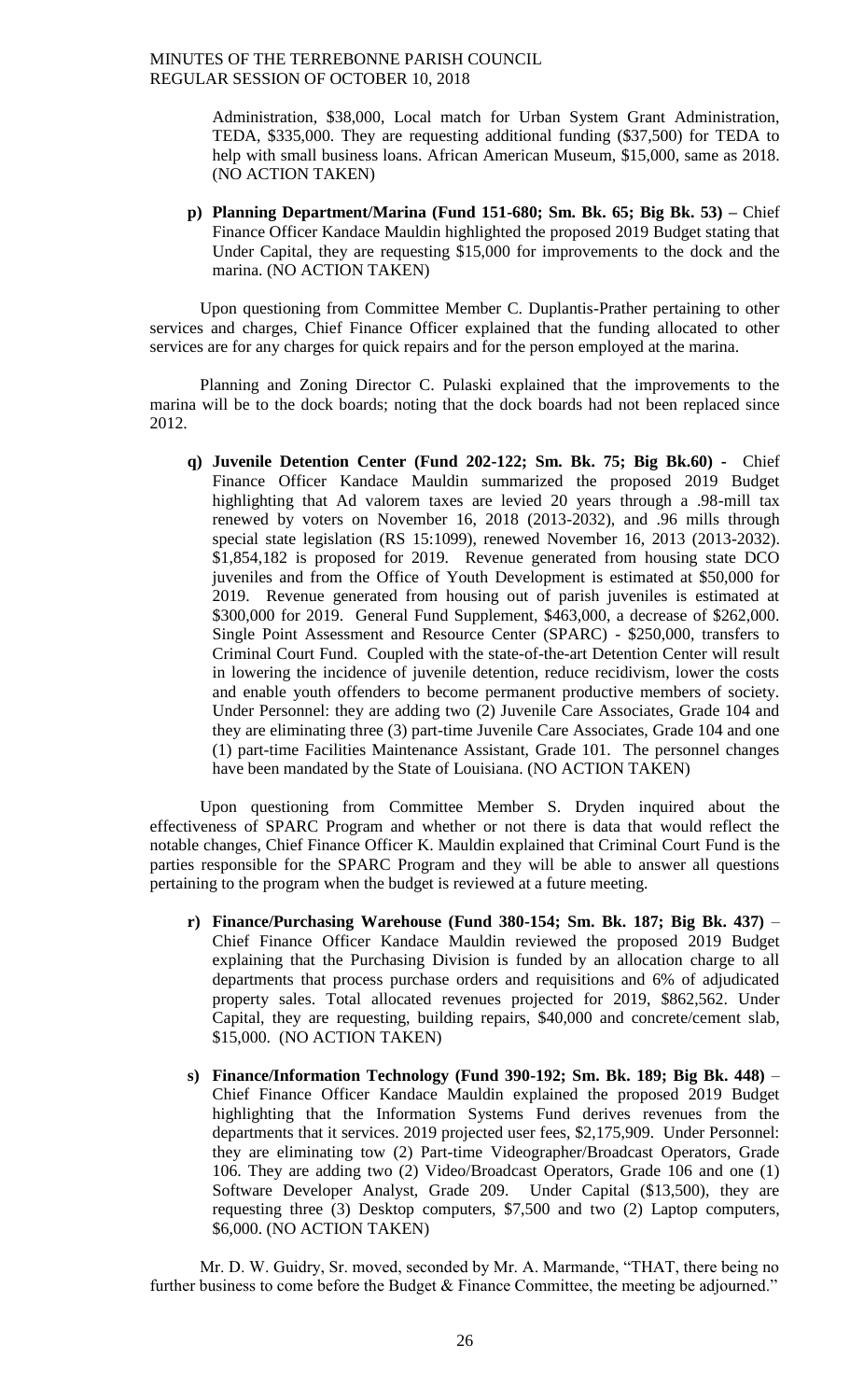Administration, \$38,000, Local match for Urban System Grant Administration, TEDA, \$335,000. They are requesting additional funding (\$37,500) for TEDA to help with small business loans. African American Museum, \$15,000, same as 2018. (NO ACTION TAKEN)

**p) Planning Department/Marina (Fund 151-680; Sm. Bk. 65; Big Bk. 53) –** Chief Finance Officer Kandace Mauldin highlighted the proposed 2019 Budget stating that Under Capital, they are requesting \$15,000 for improvements to the dock and the marina. (NO ACTION TAKEN)

Upon questioning from Committee Member C. Duplantis-Prather pertaining to other services and charges, Chief Finance Officer explained that the funding allocated to other services are for any charges for quick repairs and for the person employed at the marina.

Planning and Zoning Director C. Pulaski explained that the improvements to the marina will be to the dock boards; noting that the dock boards had not been replaced since 2012.

**q) Juvenile Detention Center (Fund 202-122; Sm. Bk. 75; Big Bk.60) -** Chief Finance Officer Kandace Mauldin summarized the proposed 2019 Budget highlighting that Ad valorem taxes are levied 20 years through a .98-mill tax renewed by voters on November 16, 2018 (2013-2032), and .96 mills through special state legislation (RS 15:1099), renewed November 16, 2013 (2013-2032). \$1,854,182 is proposed for 2019. Revenue generated from housing state DCO juveniles and from the Office of Youth Development is estimated at \$50,000 for 2019. Revenue generated from housing out of parish juveniles is estimated at \$300,000 for 2019. General Fund Supplement, \$463,000, a decrease of \$262,000. Single Point Assessment and Resource Center (SPARC) - \$250,000, transfers to Criminal Court Fund. Coupled with the state-of-the-art Detention Center will result in lowering the incidence of juvenile detention, reduce recidivism, lower the costs and enable youth offenders to become permanent productive members of society. Under Personnel: they are adding two (2) Juvenile Care Associates, Grade 104 and they are eliminating three (3) part-time Juvenile Care Associates, Grade 104 and one (1) part-time Facilities Maintenance Assistant, Grade 101. The personnel changes have been mandated by the State of Louisiana. (NO ACTION TAKEN)

Upon questioning from Committee Member S. Dryden inquired about the effectiveness of SPARC Program and whether or not there is data that would reflect the notable changes, Chief Finance Officer K. Mauldin explained that Criminal Court Fund is the parties responsible for the SPARC Program and they will be able to answer all questions pertaining to the program when the budget is reviewed at a future meeting.

- **r) Finance/Purchasing Warehouse (Fund 380-154; Sm. Bk. 187; Big Bk. 437)** Chief Finance Officer Kandace Mauldin reviewed the proposed 2019 Budget explaining that the Purchasing Division is funded by an allocation charge to all departments that process purchase orders and requisitions and 6% of adjudicated property sales. Total allocated revenues projected for 2019, \$862,562. Under Capital, they are requesting, building repairs, \$40,000 and concrete/cement slab, \$15,000. (NO ACTION TAKEN)
- **s) Finance/Information Technology (Fund 390-192; Sm. Bk. 189; Big Bk. 448)** Chief Finance Officer Kandace Mauldin explained the proposed 2019 Budget highlighting that the Information Systems Fund derives revenues from the departments that it services. 2019 projected user fees, \$2,175,909. Under Personnel: they are eliminating tow (2) Part-time Videographer/Broadcast Operators, Grade 106. They are adding two (2) Video/Broadcast Operators, Grade 106 and one (1) Software Developer Analyst, Grade 209. Under Capital (\$13,500), they are requesting three (3) Desktop computers, \$7,500 and two (2) Laptop computers, \$6,000. (NO ACTION TAKEN)

Mr. D. W. Guidry, Sr. moved, seconded by Mr. A. Marmande, "THAT, there being no further business to come before the Budget & Finance Committee, the meeting be adjourned."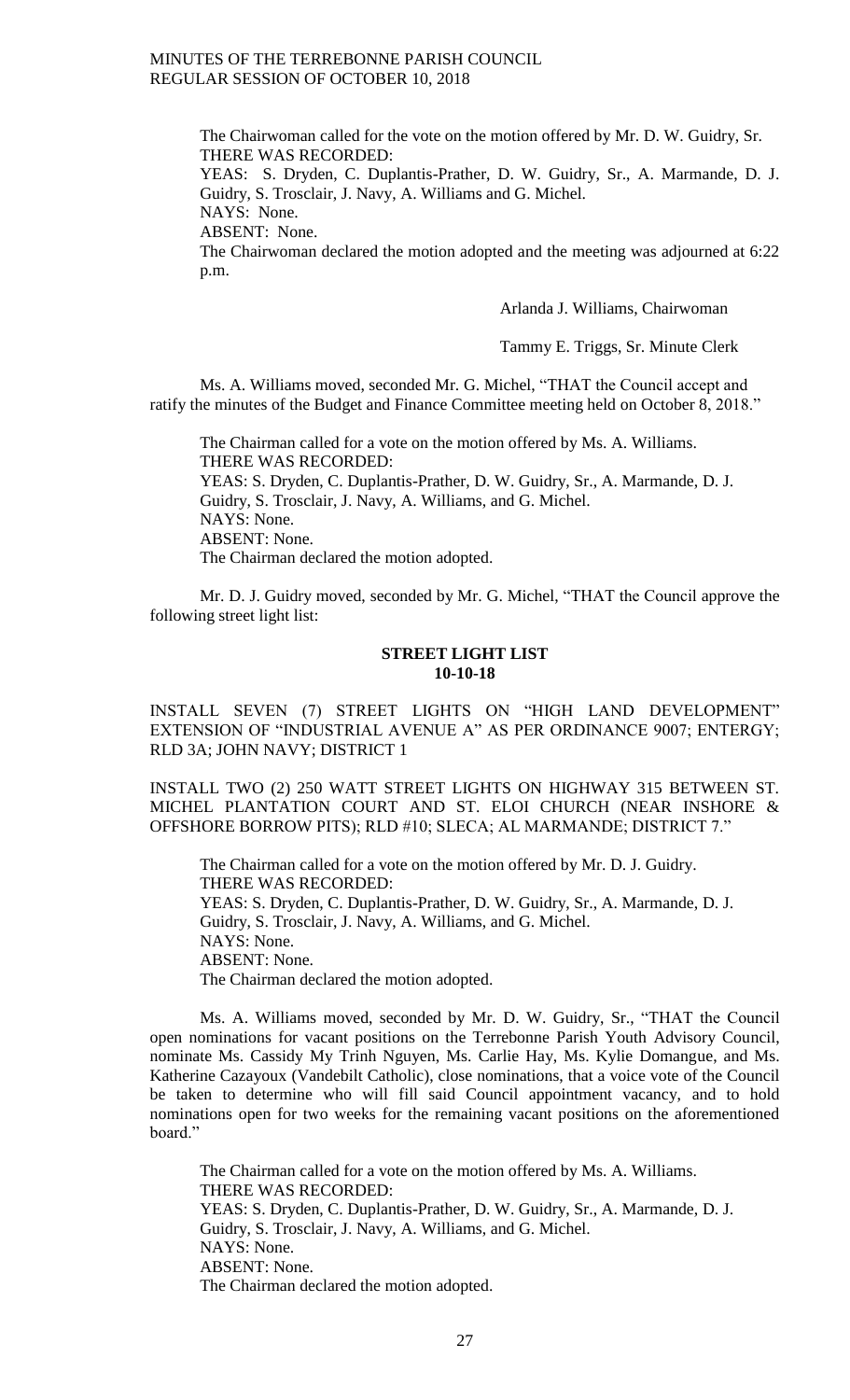The Chairwoman called for the vote on the motion offered by Mr. D. W. Guidry, Sr. THERE WAS RECORDED:

YEAS: S. Dryden, C. Duplantis-Prather, D. W. Guidry, Sr., A. Marmande, D. J. Guidry, S. Trosclair, J. Navy, A. Williams and G. Michel.

NAYS: None.

ABSENT: None.

The Chairwoman declared the motion adopted and the meeting was adjourned at 6:22 p.m.

Arlanda J. Williams, Chairwoman

Tammy E. Triggs, Sr. Minute Clerk

Ms. A. Williams moved, seconded Mr. G. Michel, "THAT the Council accept and ratify the minutes of the Budget and Finance Committee meeting held on October 8, 2018."

The Chairman called for a vote on the motion offered by Ms. A. Williams. THERE WAS RECORDED: YEAS: S. Dryden, C. Duplantis-Prather, D. W. Guidry, Sr., A. Marmande, D. J. Guidry, S. Trosclair, J. Navy, A. Williams, and G. Michel. NAYS: None. ABSENT: None. The Chairman declared the motion adopted.

Mr. D. J. Guidry moved, seconded by Mr. G. Michel, "THAT the Council approve the following street light list:

### **STREET LIGHT LIST 10-10-18**

INSTALL SEVEN (7) STREET LIGHTS ON "HIGH LAND DEVELOPMENT" EXTENSION OF "INDUSTRIAL AVENUE A" AS PER ORDINANCE 9007; ENTERGY; RLD 3A; JOHN NAVY; DISTRICT 1

INSTALL TWO (2) 250 WATT STREET LIGHTS ON HIGHWAY 315 BETWEEN ST. MICHEL PLANTATION COURT AND ST. ELOI CHURCH (NEAR INSHORE & OFFSHORE BORROW PITS); RLD #10; SLECA; AL MARMANDE; DISTRICT 7."

The Chairman called for a vote on the motion offered by Mr. D. J. Guidry. THERE WAS RECORDED: YEAS: S. Dryden, C. Duplantis-Prather, D. W. Guidry, Sr., A. Marmande, D. J. Guidry, S. Trosclair, J. Navy, A. Williams, and G. Michel. NAYS: None. ABSENT: None. The Chairman declared the motion adopted.

Ms. A. Williams moved, seconded by Mr. D. W. Guidry, Sr., "THAT the Council open nominations for vacant positions on the Terrebonne Parish Youth Advisory Council, nominate Ms. Cassidy My Trinh Nguyen, Ms. Carlie Hay, Ms. Kylie Domangue, and Ms. Katherine Cazayoux (Vandebilt Catholic), close nominations, that a voice vote of the Council be taken to determine who will fill said Council appointment vacancy, and to hold nominations open for two weeks for the remaining vacant positions on the aforementioned board."

The Chairman called for a vote on the motion offered by Ms. A. Williams. THERE WAS RECORDED: YEAS: S. Dryden, C. Duplantis-Prather, D. W. Guidry, Sr., A. Marmande, D. J. Guidry, S. Trosclair, J. Navy, A. Williams, and G. Michel. NAYS: None. ABSENT: None. The Chairman declared the motion adopted.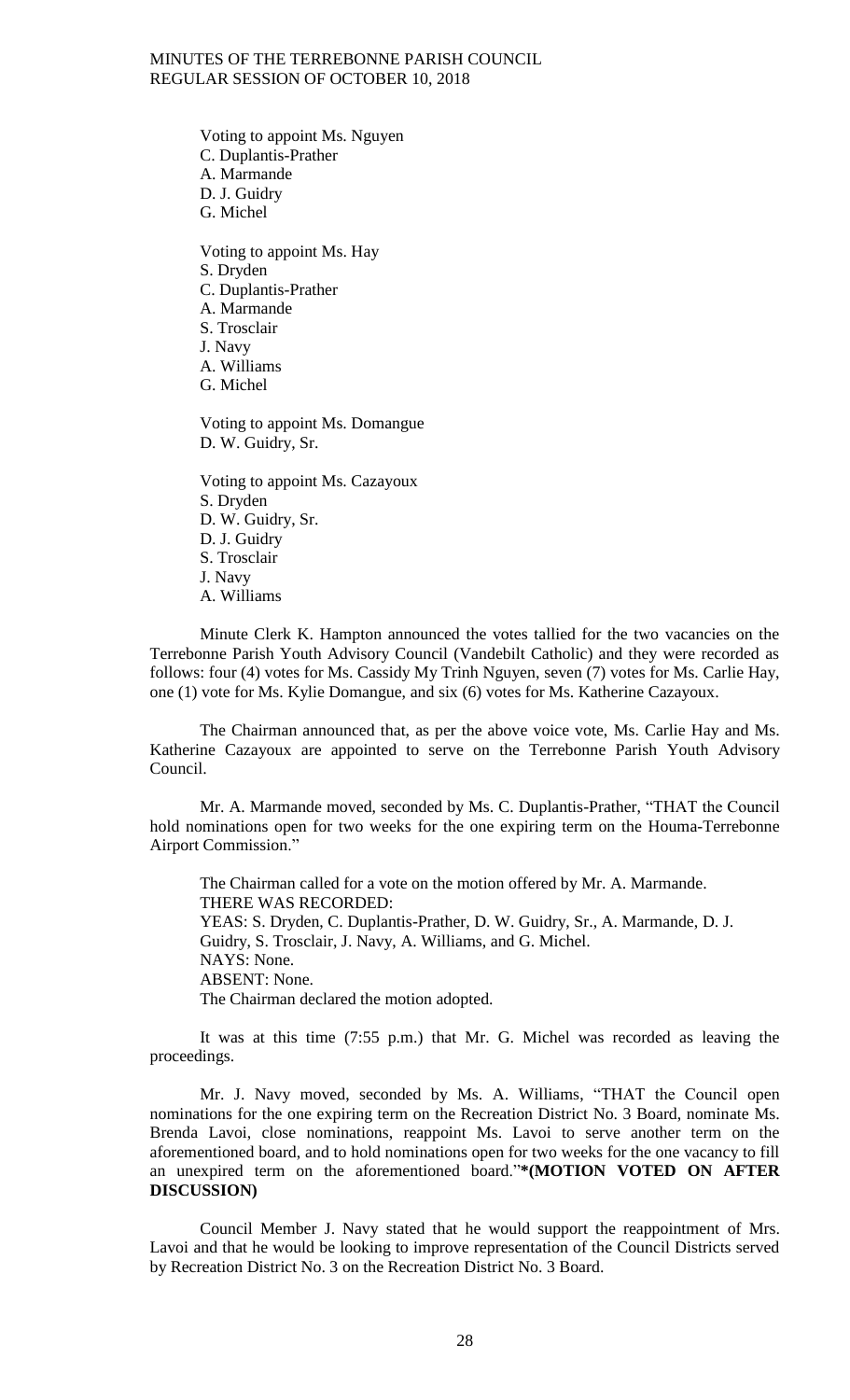Voting to appoint Ms. Nguyen C. Duplantis-Prather A. Marmande D. J. Guidry G. Michel Voting to appoint Ms. Hay

S. Dryden C. Duplantis-Prather A. Marmande S. Trosclair J. Navy A. Williams G. Michel

Voting to appoint Ms. Domangue D. W. Guidry, Sr.

Voting to appoint Ms. Cazayoux S. Dryden D. W. Guidry, Sr. D. J. Guidry S. Trosclair J. Navy A. Williams

Minute Clerk K. Hampton announced the votes tallied for the two vacancies on the Terrebonne Parish Youth Advisory Council (Vandebilt Catholic) and they were recorded as follows: four (4) votes for Ms. Cassidy My Trinh Nguyen, seven (7) votes for Ms. Carlie Hay, one (1) vote for Ms. Kylie Domangue, and six (6) votes for Ms. Katherine Cazayoux.

The Chairman announced that, as per the above voice vote, Ms. Carlie Hay and Ms. Katherine Cazayoux are appointed to serve on the Terrebonne Parish Youth Advisory Council.

Mr. A. Marmande moved, seconded by Ms. C. Duplantis-Prather, "THAT the Council hold nominations open for two weeks for the one expiring term on the Houma-Terrebonne Airport Commission."

The Chairman called for a vote on the motion offered by Mr. A. Marmande. THERE WAS RECORDED: YEAS: S. Dryden, C. Duplantis-Prather, D. W. Guidry, Sr., A. Marmande, D. J. Guidry, S. Trosclair, J. Navy, A. Williams, and G. Michel. NAYS: None. ABSENT: None. The Chairman declared the motion adopted.

It was at this time (7:55 p.m.) that Mr. G. Michel was recorded as leaving the proceedings.

Mr. J. Navy moved, seconded by Ms. A. Williams, "THAT the Council open nominations for the one expiring term on the Recreation District No. 3 Board, nominate Ms. Brenda Lavoi, close nominations, reappoint Ms. Lavoi to serve another term on the aforementioned board, and to hold nominations open for two weeks for the one vacancy to fill an unexpired term on the aforementioned board."**\*(MOTION VOTED ON AFTER DISCUSSION)**

Council Member J. Navy stated that he would support the reappointment of Mrs. Lavoi and that he would be looking to improve representation of the Council Districts served by Recreation District No. 3 on the Recreation District No. 3 Board.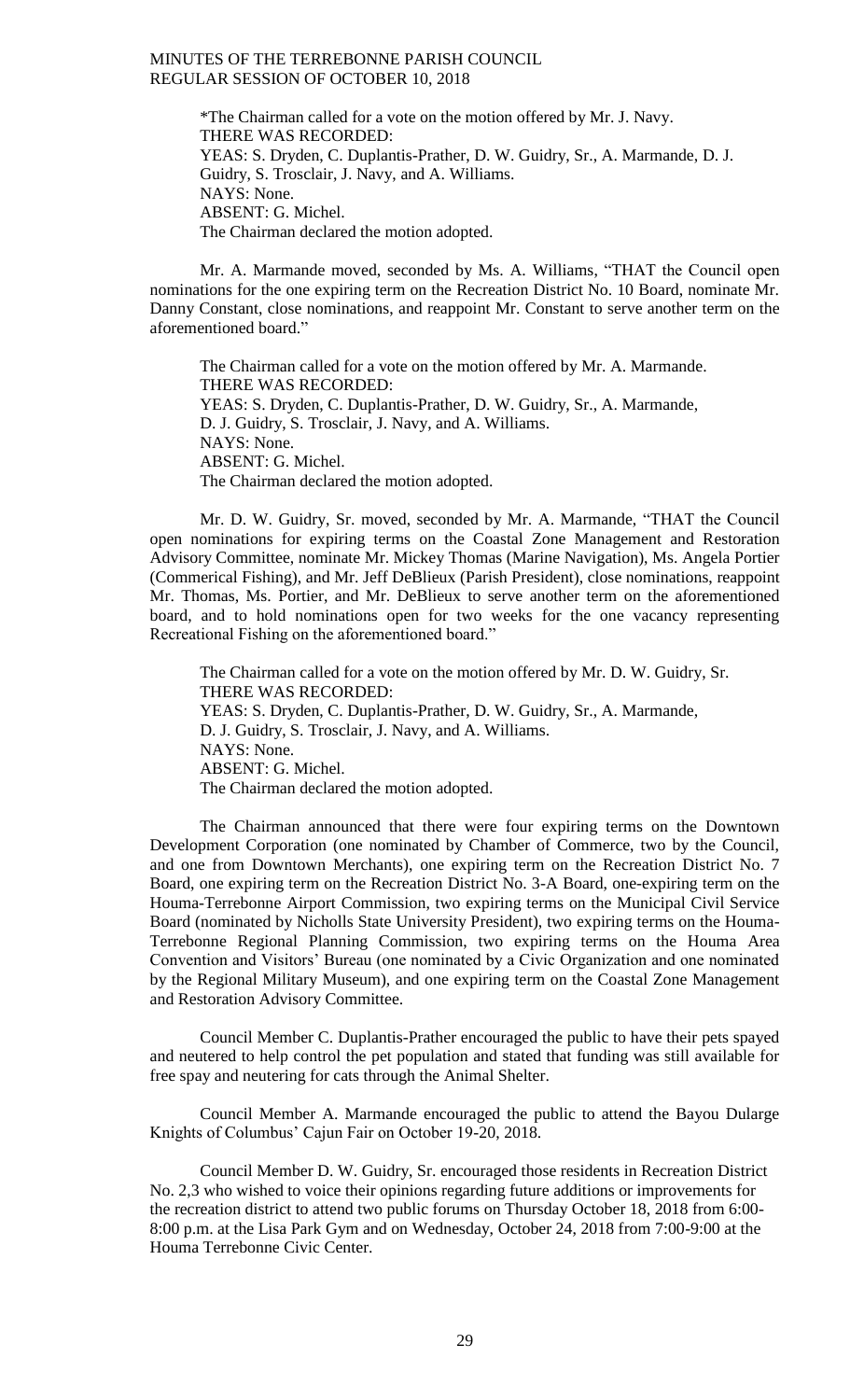\*The Chairman called for a vote on the motion offered by Mr. J. Navy. THERE WAS RECORDED: YEAS: S. Dryden, C. Duplantis-Prather, D. W. Guidry, Sr., A. Marmande, D. J. Guidry, S. Trosclair, J. Navy, and A. Williams. NAYS: None. ABSENT: G. Michel. The Chairman declared the motion adopted.

Mr. A. Marmande moved, seconded by Ms. A. Williams, "THAT the Council open nominations for the one expiring term on the Recreation District No. 10 Board, nominate Mr. Danny Constant, close nominations, and reappoint Mr. Constant to serve another term on the aforementioned board."

The Chairman called for a vote on the motion offered by Mr. A. Marmande. THERE WAS RECORDED: YEAS: S. Dryden, C. Duplantis-Prather, D. W. Guidry, Sr., A. Marmande, D. J. Guidry, S. Trosclair, J. Navy, and A. Williams. NAYS: None. ABSENT: G. Michel. The Chairman declared the motion adopted.

Mr. D. W. Guidry, Sr. moved, seconded by Mr. A. Marmande, "THAT the Council open nominations for expiring terms on the Coastal Zone Management and Restoration Advisory Committee, nominate Mr. Mickey Thomas (Marine Navigation), Ms. Angela Portier (Commerical Fishing), and Mr. Jeff DeBlieux (Parish President), close nominations, reappoint Mr. Thomas, Ms. Portier, and Mr. DeBlieux to serve another term on the aforementioned board, and to hold nominations open for two weeks for the one vacancy representing Recreational Fishing on the aforementioned board."

The Chairman called for a vote on the motion offered by Mr. D. W. Guidry, Sr. THERE WAS RECORDED: YEAS: S. Dryden, C. Duplantis-Prather, D. W. Guidry, Sr., A. Marmande, D. J. Guidry, S. Trosclair, J. Navy, and A. Williams. NAYS: None. ABSENT: G. Michel. The Chairman declared the motion adopted.

The Chairman announced that there were four expiring terms on the Downtown Development Corporation (one nominated by Chamber of Commerce, two by the Council, and one from Downtown Merchants), one expiring term on the Recreation District No. 7 Board, one expiring term on the Recreation District No. 3-A Board, one-expiring term on the Houma-Terrebonne Airport Commission, two expiring terms on the Municipal Civil Service Board (nominated by Nicholls State University President), two expiring terms on the Houma-Terrebonne Regional Planning Commission, two expiring terms on the Houma Area Convention and Visitors' Bureau (one nominated by a Civic Organization and one nominated by the Regional Military Museum), and one expiring term on the Coastal Zone Management and Restoration Advisory Committee.

Council Member C. Duplantis-Prather encouraged the public to have their pets spayed and neutered to help control the pet population and stated that funding was still available for free spay and neutering for cats through the Animal Shelter.

Council Member A. Marmande encouraged the public to attend the Bayou Dularge Knights of Columbus' Cajun Fair on October 19-20, 2018.

Council Member D. W. Guidry, Sr. encouraged those residents in Recreation District No. 2,3 who wished to voice their opinions regarding future additions or improvements for the recreation district to attend two public forums on Thursday October 18, 2018 from 6:00- 8:00 p.m. at the Lisa Park Gym and on Wednesday, October 24, 2018 from 7:00-9:00 at the Houma Terrebonne Civic Center.